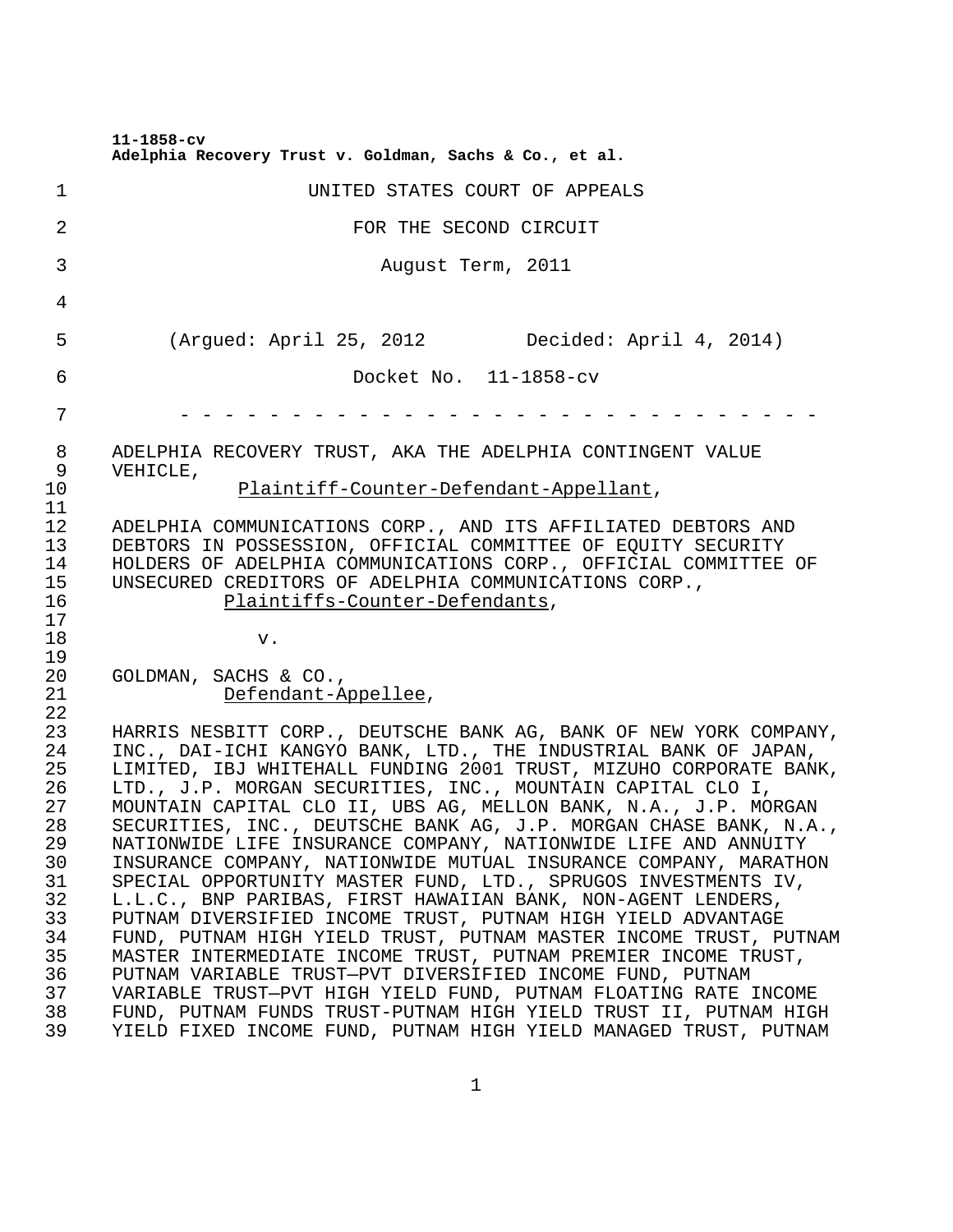**11-1858-cv**

|                                        | Adelphia Recovery Trust v. Goldman, Sachs & Co., et al.                                                                                                                                                                                                                                                                                                                                                          |
|----------------------------------------|------------------------------------------------------------------------------------------------------------------------------------------------------------------------------------------------------------------------------------------------------------------------------------------------------------------------------------------------------------------------------------------------------------------|
| 1                                      | UNITED STATES COURT OF APPEALS                                                                                                                                                                                                                                                                                                                                                                                   |
| 2                                      | FOR THE SECOND CIRCUIT                                                                                                                                                                                                                                                                                                                                                                                           |
| 3                                      | August Term, 2011                                                                                                                                                                                                                                                                                                                                                                                                |
| 4                                      |                                                                                                                                                                                                                                                                                                                                                                                                                  |
| 5                                      | (Argued: April 25, 2012 Decided: April 4, 2014)                                                                                                                                                                                                                                                                                                                                                                  |
| 6                                      | Docket No. 11-1858-cv                                                                                                                                                                                                                                                                                                                                                                                            |
| 7                                      |                                                                                                                                                                                                                                                                                                                                                                                                                  |
| 8<br>9<br>10                           | ADELPHIA RECOVERY TRUST, AKA THE ADELPHIA CONTINGENT VALUE<br>VEHICLE,<br>Plaintiff-Counter-Defendant-Appellant,                                                                                                                                                                                                                                                                                                 |
| 11<br>12<br>13<br>14<br>15<br>16<br>17 | ADELPHIA COMMUNICATIONS CORP., AND ITS AFFILIATED DEBTORS AND<br>DEBTORS IN POSSESSION, OFFICIAL COMMITTEE OF EQUITY SECURITY<br>HOLDERS OF ADELPHIA COMMUNICATIONS CORP., OFFICIAL COMMITTEE OF<br>UNSECURED CREDITORS OF ADELPHIA COMMUNICATIONS CORP.,<br>Plaintiffs-Counter-Defendants,                                                                                                                      |
| 18<br>19                               | v.                                                                                                                                                                                                                                                                                                                                                                                                               |
| 20<br>21<br>22                         | GOLDMAN, SACHS & CO.,<br>Defendant-Appellee,                                                                                                                                                                                                                                                                                                                                                                     |
| 23<br>24<br>25<br>26<br>27<br>28       | HARRIS NESBITT CORP., DEUTSCHE BANK AG, BANK OF NEW YORK COMPANY,<br>INC., DAI-ICHI KANGYO BANK, LTD., THE INDUSTRIAL BANK OF JAPAN,<br>LIMITED, IBJ WHITEHALL FUNDING 2001 TRUST, MIZUHO CORPORATE BANK,<br>LTD., J.P. MORGAN SECURITIES, INC., MOUNTAIN CAPITAL CLO I,<br>MOUNTAIN CAPITAL CLO II, UBS AG, MELLON BANK, N.A., J.P. MORGAN<br>SECURITIES, INC., DEUTSCHE BANK AG, J.P. MORGAN CHASE BANK, N.A., |
| 29<br>30<br>31<br>32                   | NATIONWIDE LIFE INSURANCE COMPANY, NATIONWIDE LIFE AND ANNUITY<br>INSURANCE COMPANY, NATIONWIDE MUTUAL INSURANCE COMPANY, MARATHON<br>SPECIAL OPPORTUNITY MASTER FUND, LTD., SPRUGOS INVESTMENTS IV,<br>L.L.C., BNP PARIBAS, FIRST HAWAIIAN BANK, NON-AGENT LENDERS,                                                                                                                                             |
| 33<br>34<br>35                         | PUTNAM DIVERSIFIED INCOME TRUST, PUTNAM HIGH YIELD ADVANTAGE<br>FUND, PUTNAM HIGH YIELD TRUST, PUTNAM MASTER INCOME TRUST, PUTNAM<br>MASTER INTERMEDIATE INCOME TRUST, PUTNAM PREMIER INCOME TRUST,                                                                                                                                                                                                              |
| 36<br>37<br>38<br>39                   | PUTNAM VARIABLE TRUST-PVT DIVERSIFIED INCOME FUND, PUTNAM<br>VARIABLE TRUST-PVT HIGH YIELD FUND, PUTNAM FLOATING RATE INCOME<br>FUND, PUTNAM FUNDS TRUST-PUTNAM HIGH YIELD TRUST II, PUTNAM HIGH<br>YIELD FIXED INCOME FUND, PUTNAM HIGH YIELD MANAGED TRUST, PUTNAM                                                                                                                                             |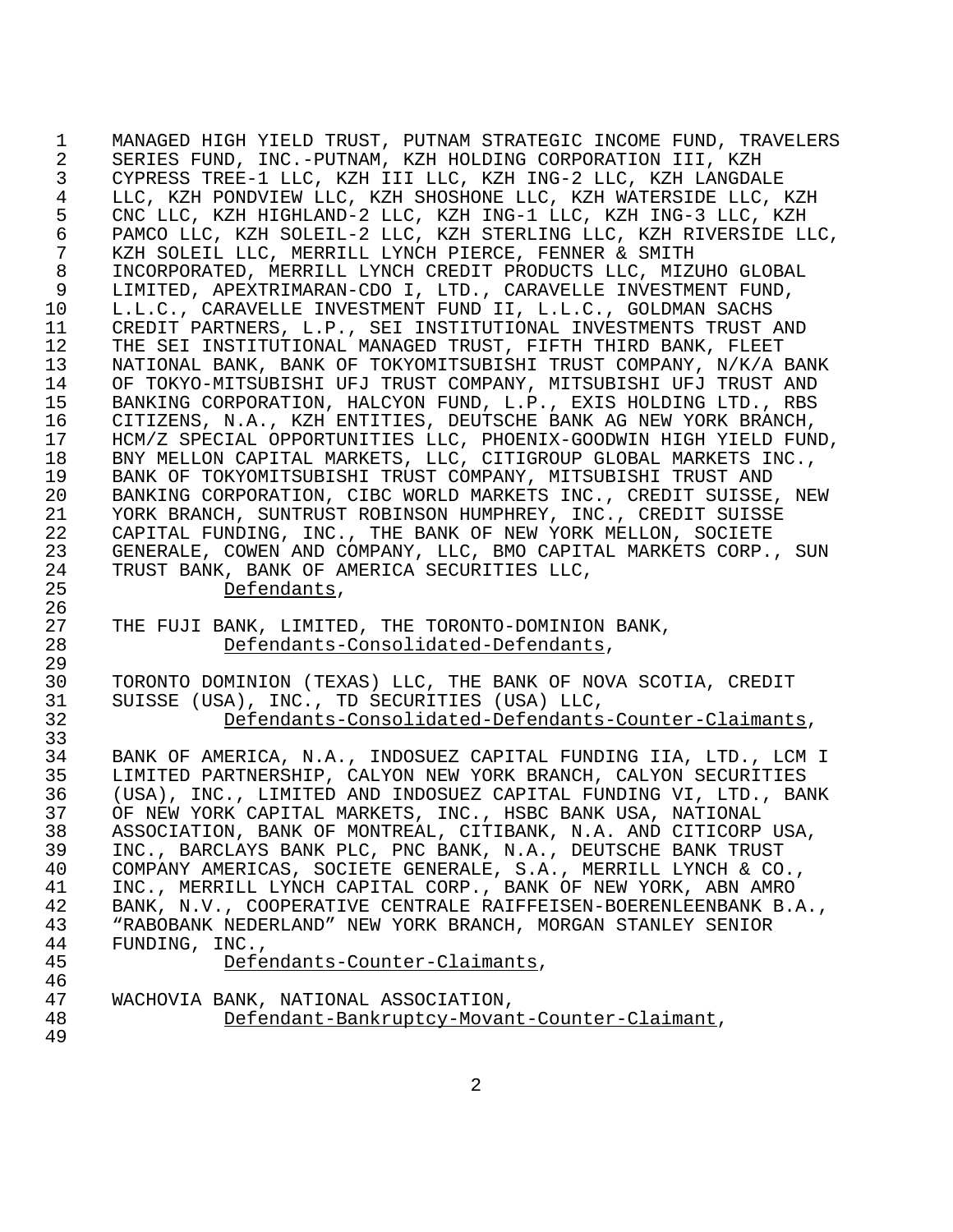1 MANAGED HIGH YIELD TRUST, PUTNAM STRATEGIC INCOME FUND, TRAVELERS 2 SERIES FUND, INC.-PUTNAM, KZH HOLDING CORPORATION III, KZH 3 CYPRESS TREE-1 LLC, KZH III LLC, KZH ING-2 LLC, KZH LANGDALE 4 LLC, KZH PONDVIEW LLC, KZH SHOSHONE LLC, KZH WATERSIDE LLC, KZH<br>5 CNC LLC, KZH HIGHLAND-2 LLC, KZH ING-1 LLC, KZH ING-3 LLC, KZH 5 CNC LLC, KZH HIGHLAND-2 LLC, KZH ING-1 LLC, KZH ING-3 LLC, KZH 6 PAMCO LLC, KZH SOLEIL-2 LLC, KZH STERLING LLC, KZH RIVERSIDE LLC, 7 KZH SOLEIL LLC, MERRILL LYNCH PIERCE, FENNER & SMITH 8 INCORPORATED, MERRILL LYNCH CREDIT PRODUCTS LLC, MIZUHO GLOBAL 9 LIMITED, APEXTRIMARAN-CDO I, LTD., CARAVELLE INVESTMENT FUND,<br>10 L.L.C., CARAVELLE INVESTMENT FUND II, L.L.C., GOLDMAN SACHS L.L.C., CARAVELLE INVESTMENT FUND II, L.L.C., GOLDMAN SACHS 11 CREDIT PARTNERS, L.P., SEI INSTITUTIONAL INVESTMENTS TRUST AND<br>12 THE SEI INSTITUTIONAL MANAGED TRUST, FIFTH THIRD BANK, FLEET THE SEI INSTITUTIONAL MANAGED TRUST, FIFTH THIRD BANK, FLEET 13 NATIONAL BANK, BANK OF TOKYOMITSUBISHI TRUST COMPANY, N/K/A BANK 14 OF TOKYO-MITSUBISHI UFJ TRUST COMPANY, MITSUBISHI UFJ TRUST AND<br>15 BANKING CORPORATION, HALCYON FUND, L.P., EXIS HOLDING LTD., RBS 15 BANKING CORPORATION, HALCYON FUND, L.P., EXIS HOLDING LTD., RBS<br>16 CITIZENS, N.A., KZH ENTITIES, DEUTSCHE BANK AG NEW YORK BRANCH, 16 CITIZENS, N.A., KZH ENTITIES, DEUTSCHE BANK AG NEW YORK BRANCH, 17 HCM/Z SPECIAL OPPORTUNITIES LLC, PHOENIX-GOODWIN HIGH YIELD FUND,<br>18 BNY MELLON CAPITAL MARKETS, LLC, CITIGROUP GLOBAL MARKETS INC., 18 BNY MELLON CAPITAL MARKETS, LLC, CITIGROUP GLOBAL MARKETS INC.,<br>19 BANK OF TOKYOMITSUBISHI TRUST COMPANY, MITSUBISHI TRUST AND 19 BANK OF TOKYOMITSUBISHI TRUST COMPANY, MITSUBISHI TRUST AND<br>20 BANKING CORPORATION, CIBC WORLD MARKETS INC., CREDIT SUISSE 20 BANKING CORPORATION, CIBC WORLD MARKETS INC., CREDIT SUISSE, NEW<br>21 YORK BRANCH, SUNTRUST ROBINSON HUMPHREY, INC., CREDIT SUISSE 21 YORK BRANCH, SUNTRUST ROBINSON HUMPHREY, INC., CREDIT SUISSE 22 CAPITAL FUNDING, INC., THE BANK OF NEW YORK MELLON, SOCIETE<br>23 GENERALE, COWEN AND COMPANY, LLC, BMO CAPITAL MARKETS CORP. 23 GENERALE, COWEN AND COMPANY, LLC, BMO CAPITAL MARKETS CORP., SUN<br>24 TRUST BANK, BANK OF AMERICA SECURITIES LLC, 24 TRUST BANK, BANK OF AMERICA SECURITIES LLC, 25 Defendants,<br>26 THE FUJI BANK, LIMITE 27 THE FUJI BANK, LIMITED, THE TORONTO-DOMINION BANK,<br>28 Defendants-Consolidated-Defendants, 28 Defendants-Consolidated-Defendants,<br>29 TORONTO DOMINION (TEXAS) LLC, THE BANK OF NOV 30 TORONTO DOMINION (TEXAS) LLC, THE BANK OF NOVA SCOTIA, CREDIT<br>31 SUISSE (USA), INC., TD SECURITIES (USA) LLC, 31 SUISSE (USA), INC., TD SECURITIES (USA) LLC, 32 Defendants-Consolidated-Defendants-Counter-Claimants,<br>33 BANK OF AMERICA, N.A., INDOSUEZ CAPITAL FUNDING IIA, LTD., LCM BANK OF AMERICA, N.A., INDOSUEZ CAPITAL FUNDING IIA, LTD., LCM I 35 LIMITED PARTNERSHIP, CALYON NEW YORK BRANCH, CALYON SECURITIES 36 (USA), INC., LIMITED AND INDOSUEZ CAPITAL FUNDING VI, LTD., BANK 37 OF NEW YORK CAPITAL MARKETS, INC., HSBC BANK USA, NATIONAL 38 ASSOCIATION, BANK OF MONTREAL, CITIBANK, N.A. AND CITICORP USA,<br>39 INC., BARCLAYS BANK PLC, PNC BANK, N.A., DEUTSCHE BANK TRUST 39 INC., BARCLAYS BANK PLC, PNC BANK, N.A., DEUTSCHE BANK TRUST 40 COMPANY AMERICAS, SOCIETE GENERALE, S.A., MERRILL LYNCH & CO.,<br>41 INC., MERRILL LYNCH CAPITAL CORP., BANK OF NEW YORK, ABN AMRO 41 INC., MERRILL LYNCH CAPITAL CORP., BANK OF NEW YORK, ABN AMRO<br>42 BANK, N.V., COOPERATIVE CENTRALE RAIFFEISEN-BOERENLEENBANK B. 42 BANK, N.V., COOPERATIVE CENTRALE RAIFFEISEN-BOERENLEENBANK B.A.,<br>43 FRABOBANK NEDERLAND" NEW YORK BRANCH, MORGAN STANLEY SENIOR 43 "RABOBANK NEDERLAND" NEW YORK BRANCH, MORGAN STANLEY SENIOR<br>44 FUNDING, INC., 44 FUNDING, INC.,<br>45 Defe Defendants-Counter-Claimants, 46<br>47 47 WACHOVIA BANK, NATIONAL ASSOCIATION, Defendant-Bankruptcy-Movant-Counter-Claimant, 49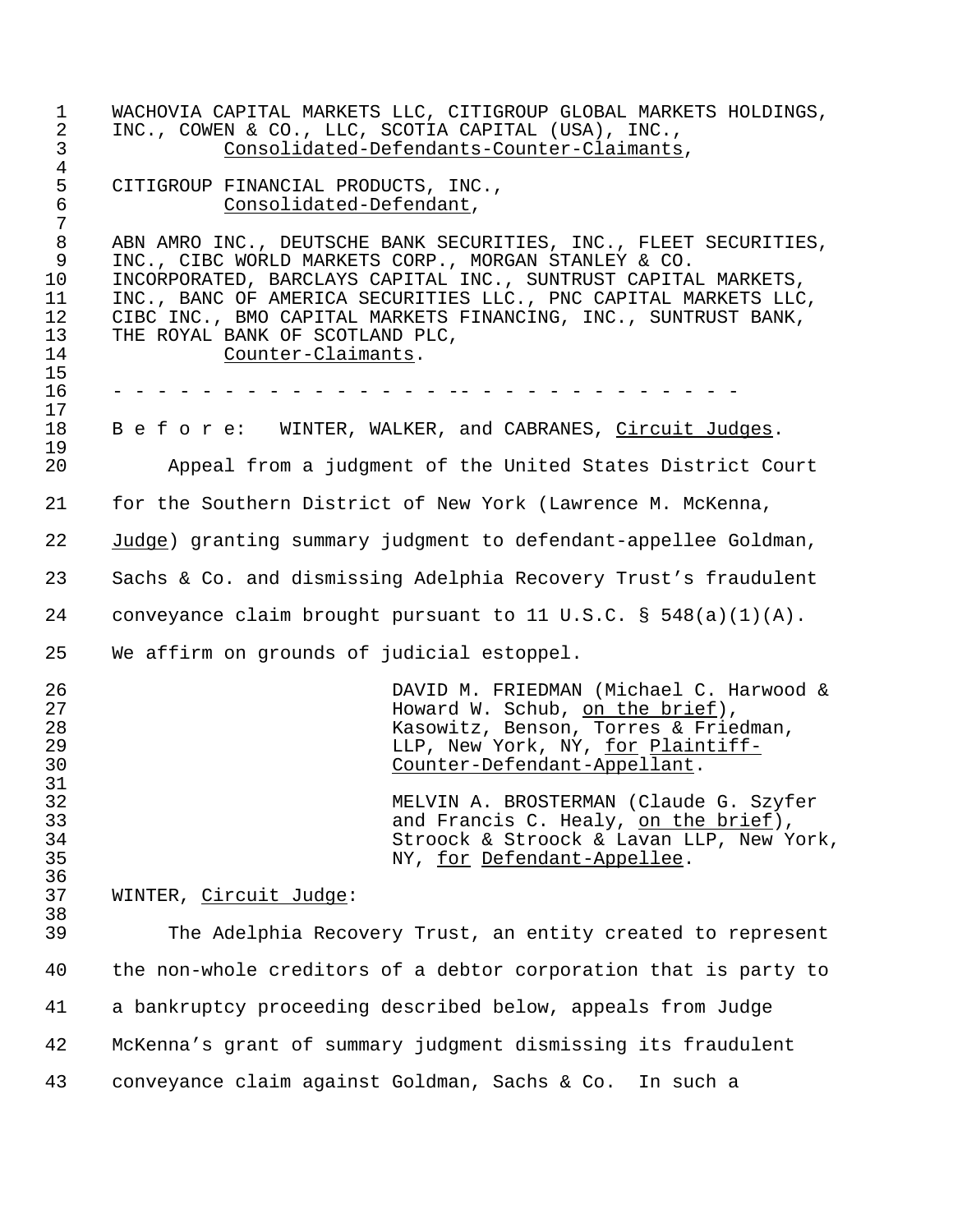| 1<br>$\overline{2}$<br>3                                         | WACHOVIA CAPITAL MARKETS LLC, CITIGROUP GLOBAL MARKETS HOLDINGS,<br>INC., COWEN & CO., LLC, SCOTIA CAPITAL (USA), INC.,<br>Consolidated-Defendants-Counter-Claimants,                                                                                                                                                                                                                    |
|------------------------------------------------------------------|------------------------------------------------------------------------------------------------------------------------------------------------------------------------------------------------------------------------------------------------------------------------------------------------------------------------------------------------------------------------------------------|
| $\overline{4}$<br>5<br>6<br>7                                    | CITIGROUP FINANCIAL PRODUCTS, INC.,<br>Consolidated-Defendant,                                                                                                                                                                                                                                                                                                                           |
| $\,8\,$<br>$\mathsf 9$<br>10<br>11<br>12<br>13<br>14<br>15<br>16 | ABN AMRO INC., DEUTSCHE BANK SECURITIES, INC., FLEET SECURITIES,<br>INC., CIBC WORLD MARKETS CORP., MORGAN STANLEY & CO.<br>INCORPORATED, BARCLAYS CAPITAL INC., SUNTRUST CAPITAL MARKETS,<br>INC., BANC OF AMERICA SECURITIES LLC., PNC CAPITAL MARKETS LLC,<br>CIBC INC., BMO CAPITAL MARKETS FINANCING, INC., SUNTRUST BANK,<br>THE ROYAL BANK OF SCOTLAND PLC,<br>Counter-Claimants. |
| 17                                                               |                                                                                                                                                                                                                                                                                                                                                                                          |
| 18<br>19                                                         | B e f o r e: WINTER, WALKER, and CABRANES, Circuit Judges.                                                                                                                                                                                                                                                                                                                               |
| 20                                                               | Appeal from a judgment of the United States District Court                                                                                                                                                                                                                                                                                                                               |
| 21                                                               | for the Southern District of New York (Lawrence M. McKenna,                                                                                                                                                                                                                                                                                                                              |
| 22                                                               | Judge) granting summary judgment to defendant-appellee Goldman,                                                                                                                                                                                                                                                                                                                          |
| 23                                                               | Sachs & Co. and dismissing Adelphia Recovery Trust's fraudulent                                                                                                                                                                                                                                                                                                                          |
| 24                                                               | conveyance claim brought pursuant to 11 U.S.C. § $548(a)(1)(A)$ .                                                                                                                                                                                                                                                                                                                        |
| 25                                                               | We affirm on grounds of judicial estoppel.                                                                                                                                                                                                                                                                                                                                               |
| 26<br>27<br>28<br>29<br>30                                       | DAVID M. FRIEDMAN (Michael C. Harwood &<br>Howard W. Schub, on the brief),<br>Kasowitz, Benson, Torres & Friedman,<br>LLP, New York, NY, for Plaintiff-<br>Counter-Defendant-Appellant.                                                                                                                                                                                                  |
| 31<br>32<br>33<br>34<br>35<br>36                                 | MELVIN A. BROSTERMAN (Claude G. Szyfer<br>and Francis C. Healy, on the brief),<br>Stroock & Stroock & Lavan LLP, New York,<br>NY, for Defendant-Appellee.                                                                                                                                                                                                                                |
| 37                                                               | WINTER, Circuit Judge:                                                                                                                                                                                                                                                                                                                                                                   |
| 38<br>39                                                         | The Adelphia Recovery Trust, an entity created to represent                                                                                                                                                                                                                                                                                                                              |
| 40                                                               | the non-whole creditors of a debtor corporation that is party to                                                                                                                                                                                                                                                                                                                         |
| 41                                                               | a bankruptcy proceeding described below, appeals from Judge                                                                                                                                                                                                                                                                                                                              |
| 42                                                               | McKenna's grant of summary judgment dismissing its fraudulent                                                                                                                                                                                                                                                                                                                            |
| 43                                                               | conveyance claim against Goldman, Sachs & Co.<br>In such a                                                                                                                                                                                                                                                                                                                               |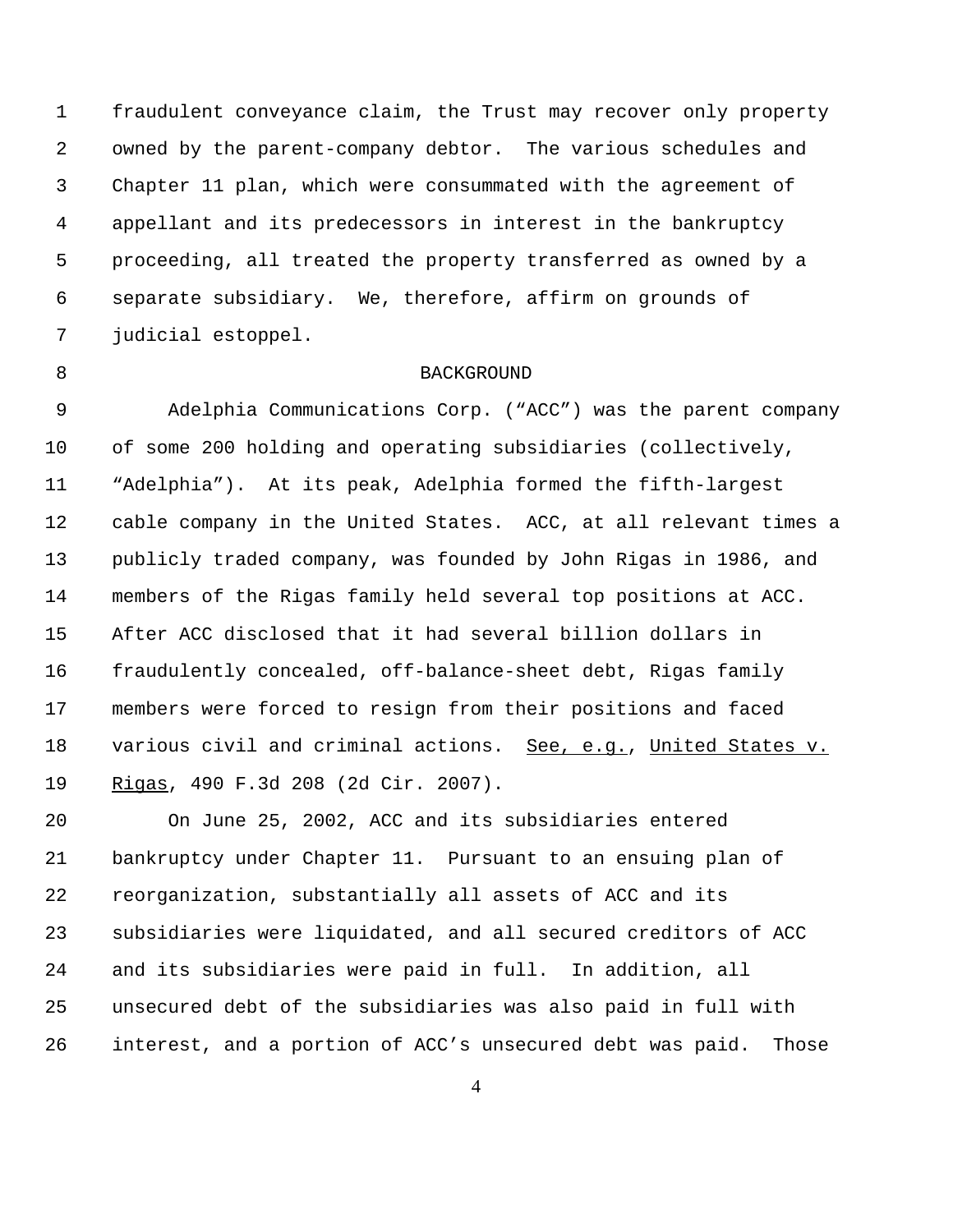fraudulent conveyance claim, the Trust may recover only property owned by the parent-company debtor. The various schedules and Chapter 11 plan, which were consummated with the agreement of appellant and its predecessors in interest in the bankruptcy proceeding, all treated the property transferred as owned by a separate subsidiary. We, therefore, affirm on grounds of judicial estoppel.

## 8 BACKGROUND

 Adelphia Communications Corp. ("ACC") was the parent company of some 200 holding and operating subsidiaries (collectively, "Adelphia"). At its peak, Adelphia formed the fifth-largest cable company in the United States. ACC, at all relevant times a publicly traded company, was founded by John Rigas in 1986, and members of the Rigas family held several top positions at ACC. After ACC disclosed that it had several billion dollars in fraudulently concealed, off-balance-sheet debt, Rigas family members were forced to resign from their positions and faced 18 various civil and criminal actions. See, e.g., United States v. Rigas, 490 F.3d 208 (2d Cir. 2007).

 On June 25, 2002, ACC and its subsidiaries entered bankruptcy under Chapter 11. Pursuant to an ensuing plan of reorganization, substantially all assets of ACC and its subsidiaries were liquidated, and all secured creditors of ACC and its subsidiaries were paid in full. In addition, all unsecured debt of the subsidiaries was also paid in full with interest, and a portion of ACC's unsecured debt was paid. Those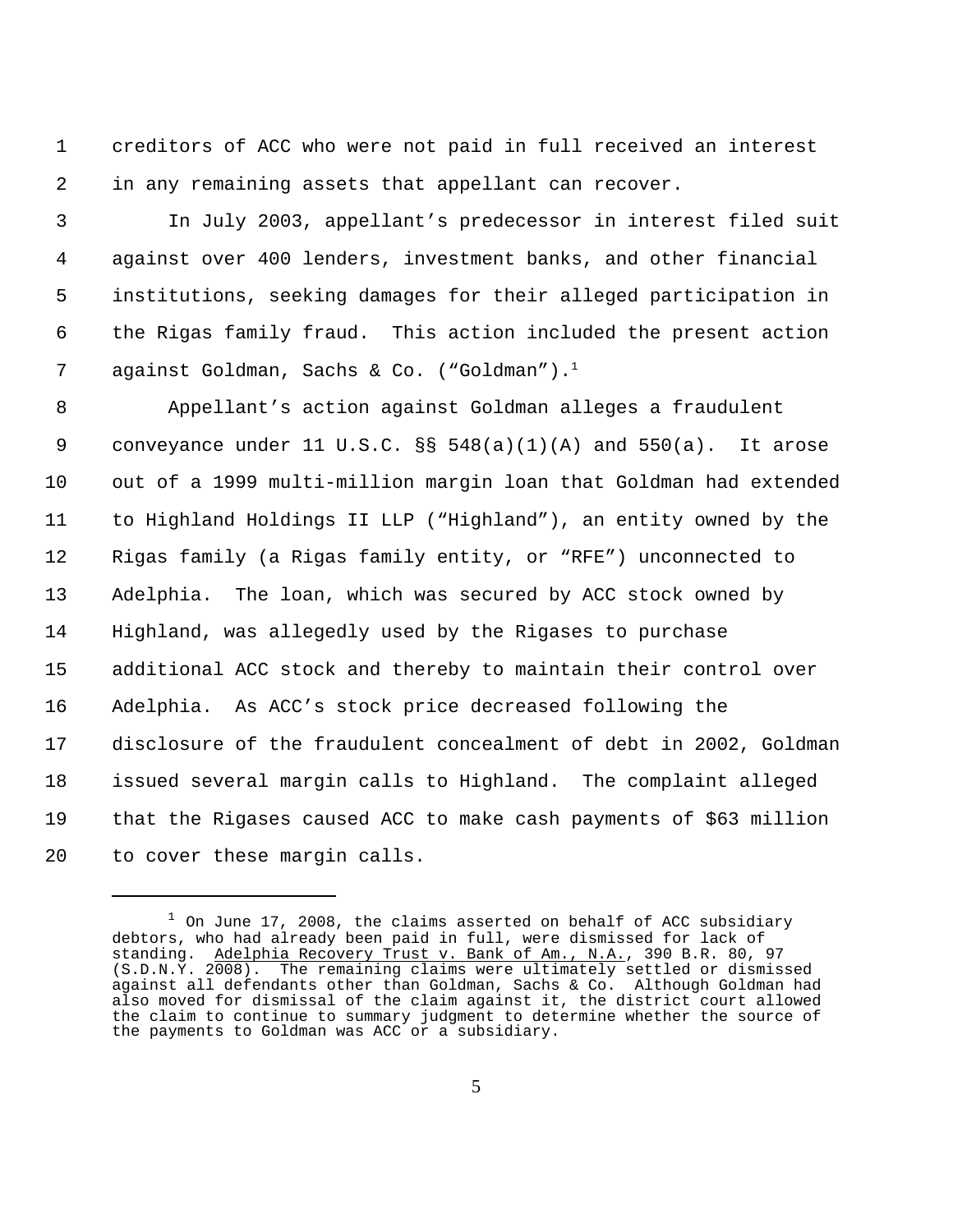creditors of ACC who were not paid in full received an interest in any remaining assets that appellant can recover.

 In July 2003, appellant's predecessor in interest filed suit against over 400 lenders, investment banks, and other financial institutions, seeking damages for their alleged participation in the Rigas family fraud. This action included the present action 7 against Goldman, Sachs & Co. ("Goldman").<sup>1</sup>

 Appellant's action against Goldman alleges a fraudulent 9 conveyance under 11 U.S.C.  $\S$  548(a)(1)(A) and 550(a). It arose out of a 1999 multi-million margin loan that Goldman had extended to Highland Holdings II LLP ("Highland"), an entity owned by the Rigas family (a Rigas family entity, or "RFE") unconnected to Adelphia. The loan, which was secured by ACC stock owned by Highland, was allegedly used by the Rigases to purchase additional ACC stock and thereby to maintain their control over Adelphia. As ACC's stock price decreased following the disclosure of the fraudulent concealment of debt in 2002, Goldman issued several margin calls to Highland. The complaint alleged that the Rigases caused ACC to make cash payments of \$63 million to cover these margin calls.

 On June 17, 2008, the claims asserted on behalf of ACC subsidiary debtors, who had already been paid in full, were dismissed for lack of standing. Adelphia Recovery Trust v. Bank of Am., N.A., 390 B.R. 80, 97 (S.D.N.Y. 2008). The remaining claims were ultimately settled or dismissed against all defendants other than Goldman, Sachs & Co. Although Goldman had also moved for dismissal of the claim against it, the district court allowed the claim to continue to summary judgment to determine whether the source of the payments to Goldman was ACC or a subsidiary.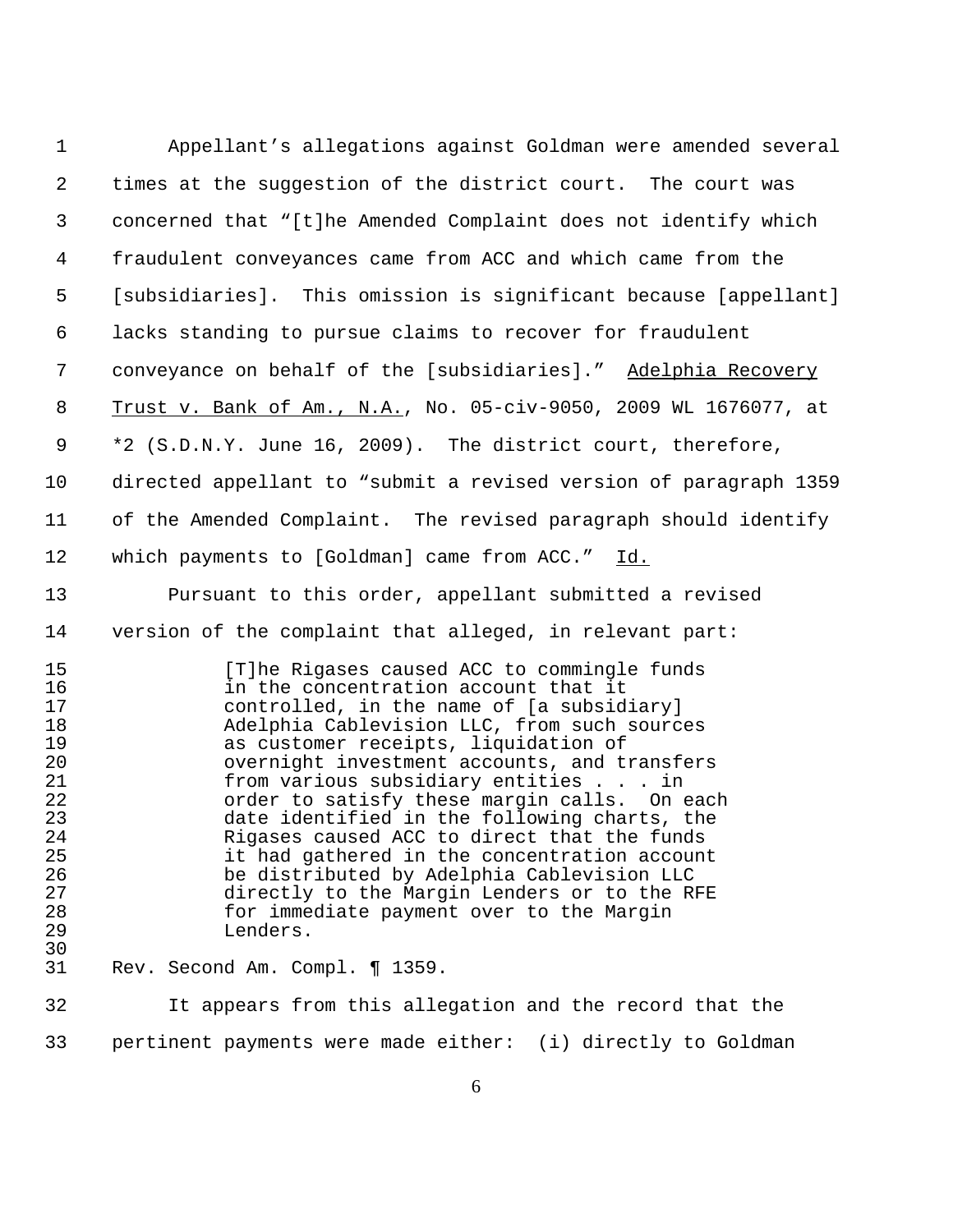| $\mathbf 1$                                                                                  | Appellant's allegations against Goldman were amended several                                                                                                                                                                                                                                                                                                                                                                                                                                                                                                                                                                                                        |
|----------------------------------------------------------------------------------------------|---------------------------------------------------------------------------------------------------------------------------------------------------------------------------------------------------------------------------------------------------------------------------------------------------------------------------------------------------------------------------------------------------------------------------------------------------------------------------------------------------------------------------------------------------------------------------------------------------------------------------------------------------------------------|
| $\overline{2}$                                                                               | times at the suggestion of the district court. The court was                                                                                                                                                                                                                                                                                                                                                                                                                                                                                                                                                                                                        |
| 3                                                                                            | concerned that "[t]he Amended Complaint does not identify which                                                                                                                                                                                                                                                                                                                                                                                                                                                                                                                                                                                                     |
| 4                                                                                            | fraudulent conveyances came from ACC and which came from the                                                                                                                                                                                                                                                                                                                                                                                                                                                                                                                                                                                                        |
| 5                                                                                            | [subsidiaries]. This omission is significant because [appellant]                                                                                                                                                                                                                                                                                                                                                                                                                                                                                                                                                                                                    |
| 6                                                                                            | lacks standing to pursue claims to recover for fraudulent                                                                                                                                                                                                                                                                                                                                                                                                                                                                                                                                                                                                           |
| 7                                                                                            | conveyance on behalf of the [subsidiaries]." Adelphia Recovery                                                                                                                                                                                                                                                                                                                                                                                                                                                                                                                                                                                                      |
| 8                                                                                            | Trust v. Bank of Am., N.A., No. 05-civ-9050, 2009 WL 1676077, at                                                                                                                                                                                                                                                                                                                                                                                                                                                                                                                                                                                                    |
| 9                                                                                            | *2 (S.D.N.Y. June 16, 2009). The district court, therefore,                                                                                                                                                                                                                                                                                                                                                                                                                                                                                                                                                                                                         |
| 10                                                                                           | directed appellant to "submit a revised version of paragraph 1359                                                                                                                                                                                                                                                                                                                                                                                                                                                                                                                                                                                                   |
| 11                                                                                           | of the Amended Complaint. The revised paragraph should identify                                                                                                                                                                                                                                                                                                                                                                                                                                                                                                                                                                                                     |
| 12                                                                                           | which payments to [Goldman] came from ACC."<br>Id.                                                                                                                                                                                                                                                                                                                                                                                                                                                                                                                                                                                                                  |
| 13                                                                                           | Pursuant to this order, appellant submitted a revised                                                                                                                                                                                                                                                                                                                                                                                                                                                                                                                                                                                                               |
| 14                                                                                           | version of the complaint that alleged, in relevant part:                                                                                                                                                                                                                                                                                                                                                                                                                                                                                                                                                                                                            |
| 15<br>16<br>17<br>18<br>19<br>20<br>21<br>22<br>23<br>24<br>25<br>26<br>27<br>28<br>29<br>30 | [T]he Rigases caused ACC to commingle funds<br>in the concentration account that it<br>controlled, in the name of [a subsidiary]<br>Adelphia Cablevision LLC, from such sources<br>as customer receipts, liquidation of<br>overnight investment accounts, and transfers<br>from various subsidiary entities in<br>order to satisfy these margin calls. On each<br>date identified in the following charts, the<br>Rigases caused ACC to direct that the funds<br>it had gathered in the concentration account<br>be distributed by Adelphia Cablevision LLC<br>directly to the Margin Lenders or to the RFE<br>for immediate payment over to the Margin<br>Lenders. |
| 31                                                                                           | Rev. Second Am. Compl. ¶ 1359.                                                                                                                                                                                                                                                                                                                                                                                                                                                                                                                                                                                                                                      |
| 32                                                                                           | It appears from this allegation and the record that the                                                                                                                                                                                                                                                                                                                                                                                                                                                                                                                                                                                                             |

pertinent payments were made either: (i) directly to Goldman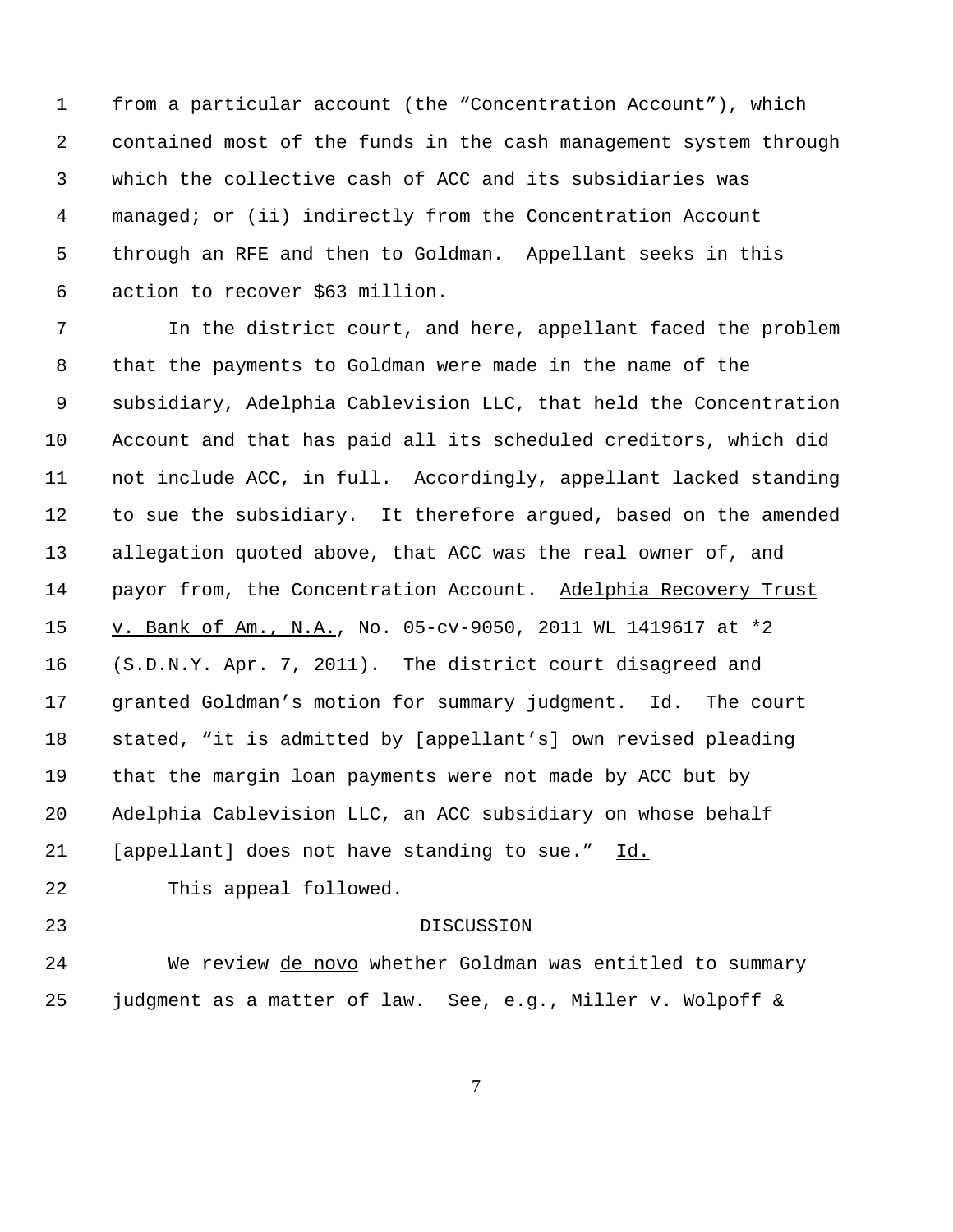from a particular account (the "Concentration Account"), which contained most of the funds in the cash management system through which the collective cash of ACC and its subsidiaries was managed; or (ii) indirectly from the Concentration Account through an RFE and then to Goldman. Appellant seeks in this action to recover \$63 million.

 In the district court, and here, appellant faced the problem that the payments to Goldman were made in the name of the subsidiary, Adelphia Cablevision LLC, that held the Concentration Account and that has paid all its scheduled creditors, which did not include ACC, in full. Accordingly, appellant lacked standing to sue the subsidiary. It therefore argued, based on the amended allegation quoted above, that ACC was the real owner of, and 14 payor from, the Concentration Account. Adelphia Recovery Trust v. Bank of Am., N.A., No. 05-cv-9050, 2011 WL 1419617 at \*2 (S.D.N.Y. Apr. 7, 2011). The district court disagreed and granted Goldman's motion for summary judgment. Id. The court stated, "it is admitted by [appellant's] own revised pleading that the margin loan payments were not made by ACC but by Adelphia Cablevision LLC, an ACC subsidiary on whose behalf 21 [appellant] does not have standing to sue." Id.

This appeal followed.

## DISCUSSION

 We review de novo whether Goldman was entitled to summary 25 judgment as a matter of law. See, e.g., Miller v. Wolpoff  $\&$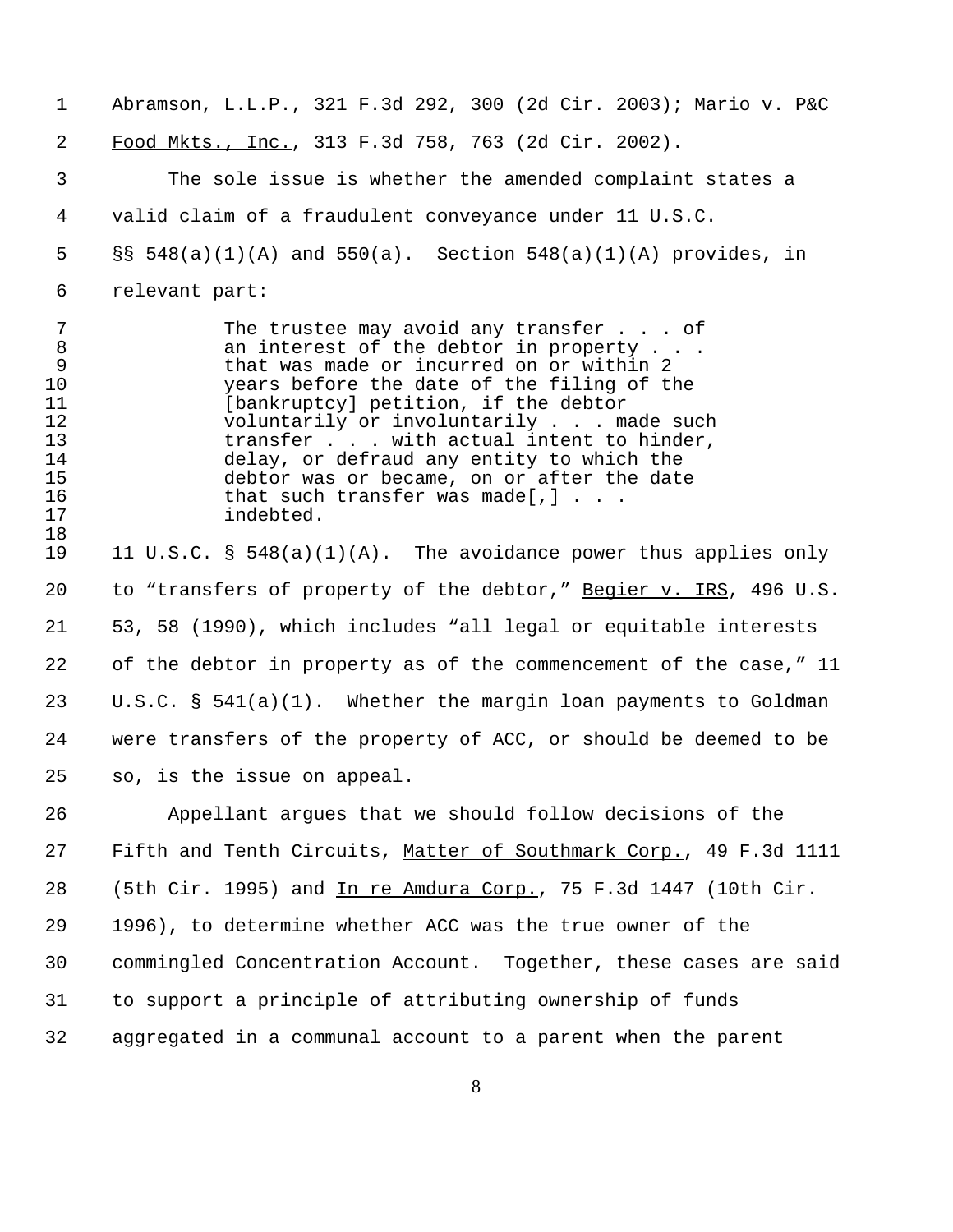| $\mathbf{1}$                                                      | Abramson, L.L.P., 321 F.3d 292, 300 (2d Cir. 2003); Mario v. P&C                                                                                                                                                                                                                                                                                                                                                                                                              |
|-------------------------------------------------------------------|-------------------------------------------------------------------------------------------------------------------------------------------------------------------------------------------------------------------------------------------------------------------------------------------------------------------------------------------------------------------------------------------------------------------------------------------------------------------------------|
| 2                                                                 | Food Mkts., Inc., 313 F.3d 758, 763 (2d Cir. 2002).                                                                                                                                                                                                                                                                                                                                                                                                                           |
| 3                                                                 | The sole issue is whether the amended complaint states a                                                                                                                                                                                                                                                                                                                                                                                                                      |
| 4                                                                 | valid claim of a fraudulent conveyance under 11 U.S.C.                                                                                                                                                                                                                                                                                                                                                                                                                        |
| 5                                                                 | $\S$ § 548(a)(1)(A) and 550(a). Section 548(a)(1)(A) provides, in                                                                                                                                                                                                                                                                                                                                                                                                             |
| 6                                                                 | relevant part:                                                                                                                                                                                                                                                                                                                                                                                                                                                                |
| 7<br>8<br>9<br>10<br>11<br>12<br>13<br>14<br>15<br>16<br>17<br>18 | The trustee may avoid any transfer $\ldots$ of<br>an interest of the debtor in property $\ldots$ .<br>that was made or incurred on or within 2<br>years before the date of the filing of the<br>[bankruptcy] petition, if the debtor<br>voluntarily or involuntarily made such<br>transfer with actual intent to hinder,<br>delay, or defraud any entity to which the<br>debtor was or became, on or after the date<br>that such transfer was made[,] $\ldots$ .<br>indebted. |
| 19                                                                | 11 U.S.C. § 548(a)(1)(A). The avoidance power thus applies only                                                                                                                                                                                                                                                                                                                                                                                                               |
| 20                                                                | to "transfers of property of the debtor," Begier v. IRS, 496 U.S.                                                                                                                                                                                                                                                                                                                                                                                                             |
| 21                                                                | 53, 58 (1990), which includes "all legal or equitable interests                                                                                                                                                                                                                                                                                                                                                                                                               |
| 22                                                                | of the debtor in property as of the commencement of the case," 11                                                                                                                                                                                                                                                                                                                                                                                                             |
| 23                                                                | $U.S.C. S 541(a)(1)$ . Whether the margin loan payments to Goldman                                                                                                                                                                                                                                                                                                                                                                                                            |
| 24                                                                | were transfers of the property of ACC, or should be deemed to be                                                                                                                                                                                                                                                                                                                                                                                                              |
| 25                                                                | so, is the issue on appeal.                                                                                                                                                                                                                                                                                                                                                                                                                                                   |
| 26                                                                | Appellant argues that we should follow decisions of the                                                                                                                                                                                                                                                                                                                                                                                                                       |
| 27                                                                | Fifth and Tenth Circuits, Matter of Southmark Corp., 49 F.3d 1111                                                                                                                                                                                                                                                                                                                                                                                                             |
| 28                                                                | (5th Cir. 1995) and In re Amdura Corp., 75 F.3d 1447 (10th Cir.                                                                                                                                                                                                                                                                                                                                                                                                               |
| 29                                                                | 1996), to determine whether ACC was the true owner of the                                                                                                                                                                                                                                                                                                                                                                                                                     |
| 30                                                                | commingled Concentration Account. Together, these cases are said                                                                                                                                                                                                                                                                                                                                                                                                              |
| 31                                                                | to support a principle of attributing ownership of funds                                                                                                                                                                                                                                                                                                                                                                                                                      |
| 32                                                                | aggregated in a communal account to a parent when the parent                                                                                                                                                                                                                                                                                                                                                                                                                  |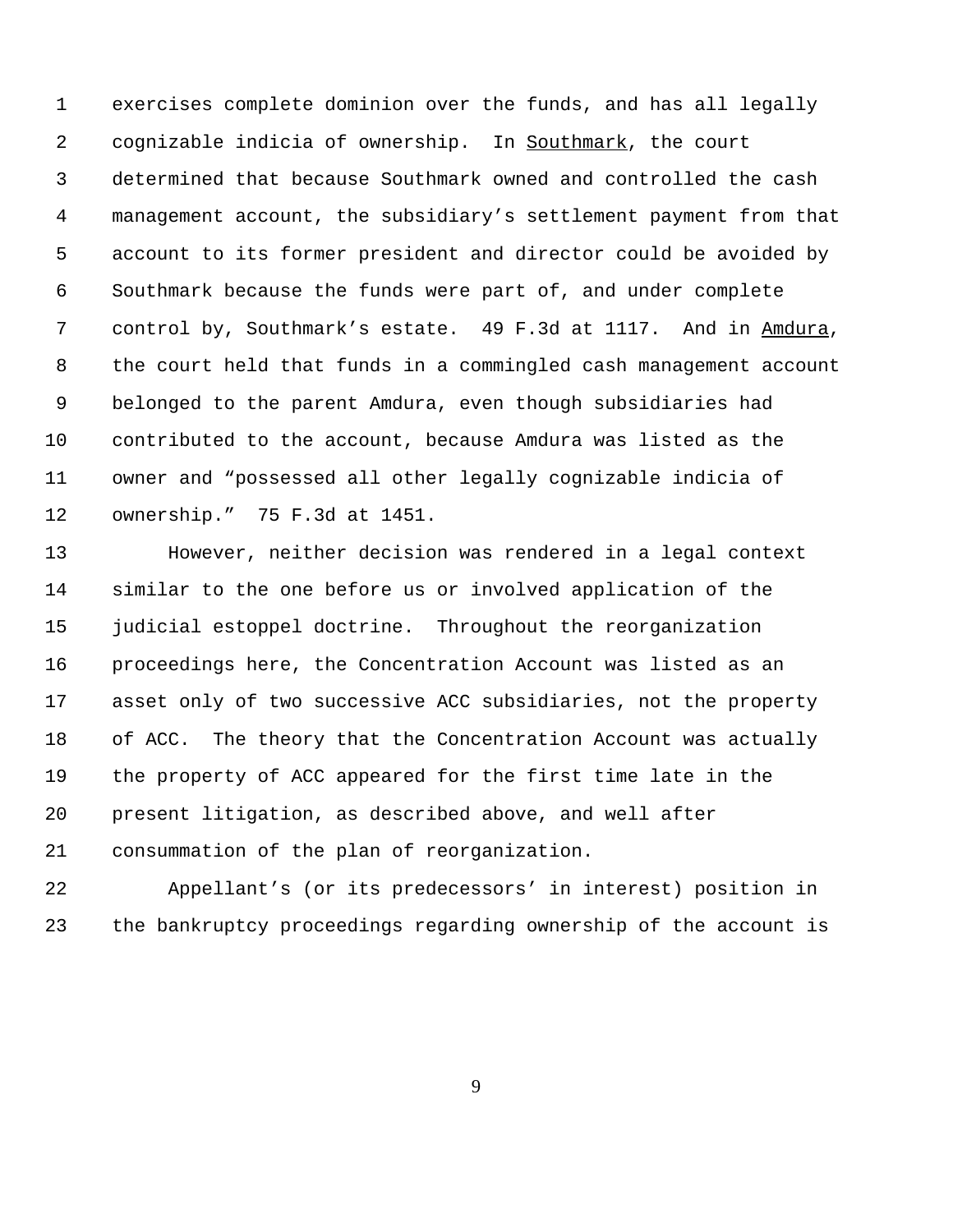exercises complete dominion over the funds, and has all legally cognizable indicia of ownership. In Southmark, the court determined that because Southmark owned and controlled the cash management account, the subsidiary's settlement payment from that account to its former president and director could be avoided by Southmark because the funds were part of, and under complete control by, Southmark's estate. 49 F.3d at 1117. And in Amdura, the court held that funds in a commingled cash management account belonged to the parent Amdura, even though subsidiaries had contributed to the account, because Amdura was listed as the owner and "possessed all other legally cognizable indicia of ownership." 75 F.3d at 1451.

 However, neither decision was rendered in a legal context similar to the one before us or involved application of the judicial estoppel doctrine. Throughout the reorganization proceedings here, the Concentration Account was listed as an asset only of two successive ACC subsidiaries, not the property of ACC. The theory that the Concentration Account was actually the property of ACC appeared for the first time late in the present litigation, as described above, and well after consummation of the plan of reorganization.

 Appellant's (or its predecessors' in interest) position in the bankruptcy proceedings regarding ownership of the account is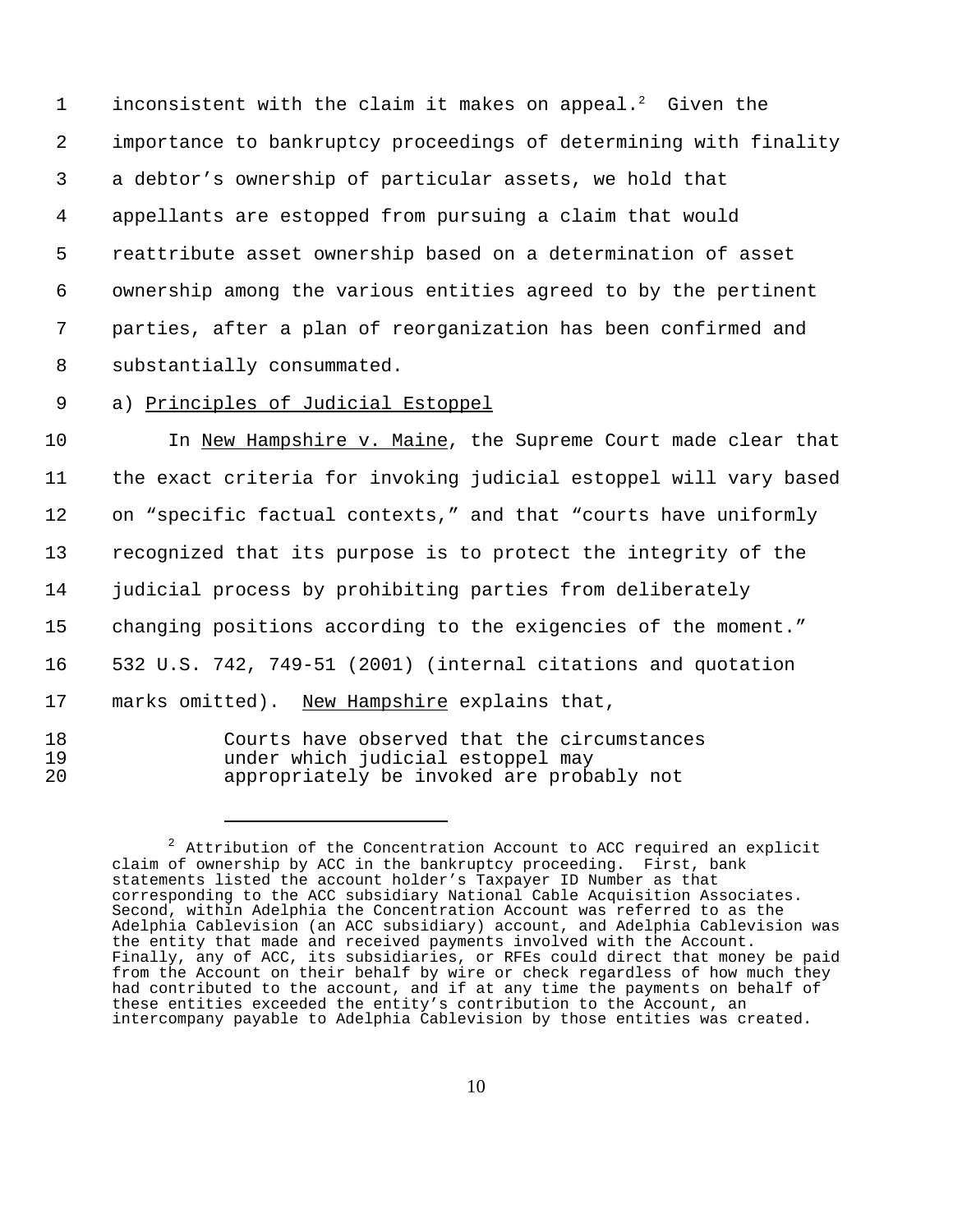1 inconsistent with the claim it makes on appeal.<sup>2</sup> Given the importance to bankruptcy proceedings of determining with finality a debtor's ownership of particular assets, we hold that appellants are estopped from pursuing a claim that would reattribute asset ownership based on a determination of asset ownership among the various entities agreed to by the pertinent parties, after a plan of reorganization has been confirmed and substantially consummated.

a) Principles of Judicial Estoppel

10 In New Hampshire v. Maine, the Supreme Court made clear that the exact criteria for invoking judicial estoppel will vary based on "specific factual contexts," and that "courts have uniformly recognized that its purpose is to protect the integrity of the judicial process by prohibiting parties from deliberately changing positions according to the exigencies of the moment." 532 U.S. 742, 749-51 (2001) (internal citations and quotation marks omitted). New Hampshire explains that,

- 
- Courts have observed that the circumstances under which judicial estoppel may appropriately be invoked are probably not

 Attribution of the Concentration Account to ACC required an explicit claim of ownership by ACC in the bankruptcy proceeding. First, bank statements listed the account holder's Taxpayer ID Number as that corresponding to the ACC subsidiary National Cable Acquisition Associates. Second, within Adelphia the Concentration Account was referred to as the Adelphia Cablevision (an ACC subsidiary) account, and Adelphia Cablevision was the entity that made and received payments involved with the Account. Finally, any of ACC, its subsidiaries, or RFEs could direct that money be paid from the Account on their behalf by wire or check regardless of how much they had contributed to the account, and if at any time the payments on behalf of these entities exceeded the entity's contribution to the Account, an intercompany payable to Adelphia Cablevision by those entities was created.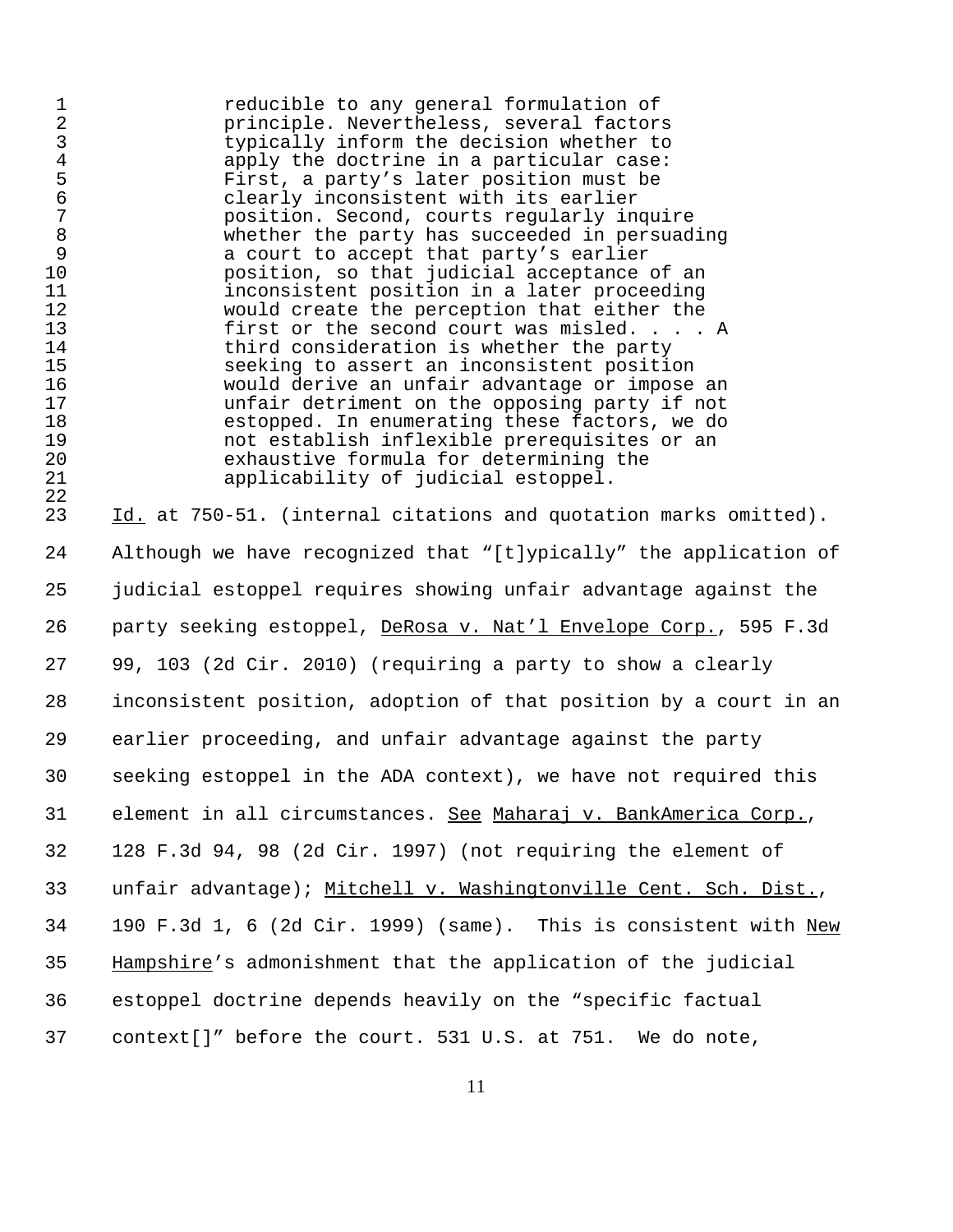reducible to any general formulation of principle. Nevertheless, several factors typically inform the decision whether to 4 apply the doctrine in a particular case:<br>5 First, a party's later position must be First, a party's later position must be clearly inconsistent with its earlier position. Second, courts regularly inquire whether the party has succeeded in persuading 9 a court to accept that party's earlier<br>10 position, so that judicial acceptance position, so that judicial acceptance of an 11 11 inconsistent position in a later proceeding<br>12 would create the perception that either the would create the perception that either the first or the second court was misled. . . . A third consideration is whether the party seeking to assert an inconsistent position would derive an unfair advantage or impose an unfair detriment on the opposing party if not estopped. In enumerating these factors, we do not establish inflexible prerequisites or an 20 exhaustive formula for determining the<br>21 exhaustive fiudicial estoppel. applicability of judicial estoppel.

 $\frac{22}{23}$ Id. at 750-51. (internal citations and quotation marks omitted). Although we have recognized that "[t]ypically" the application of judicial estoppel requires showing unfair advantage against the 26 party seeking estoppel, DeRosa v. Nat'l Envelope Corp., 595 F.3d 99, 103 (2d Cir. 2010) (requiring a party to show a clearly inconsistent position, adoption of that position by a court in an earlier proceeding, and unfair advantage against the party seeking estoppel in the ADA context), we have not required this element in all circumstances. See Maharaj v. BankAmerica Corp., 128 F.3d 94, 98 (2d Cir. 1997) (not requiring the element of 33 unfair advantage); Mitchell v. Washingtonville Cent. Sch. Dist., 190 F.3d 1, 6 (2d Cir. 1999) (same). This is consistent with New Hampshire's admonishment that the application of the judicial estoppel doctrine depends heavily on the "specific factual context[]" before the court. 531 U.S. at 751. We do note,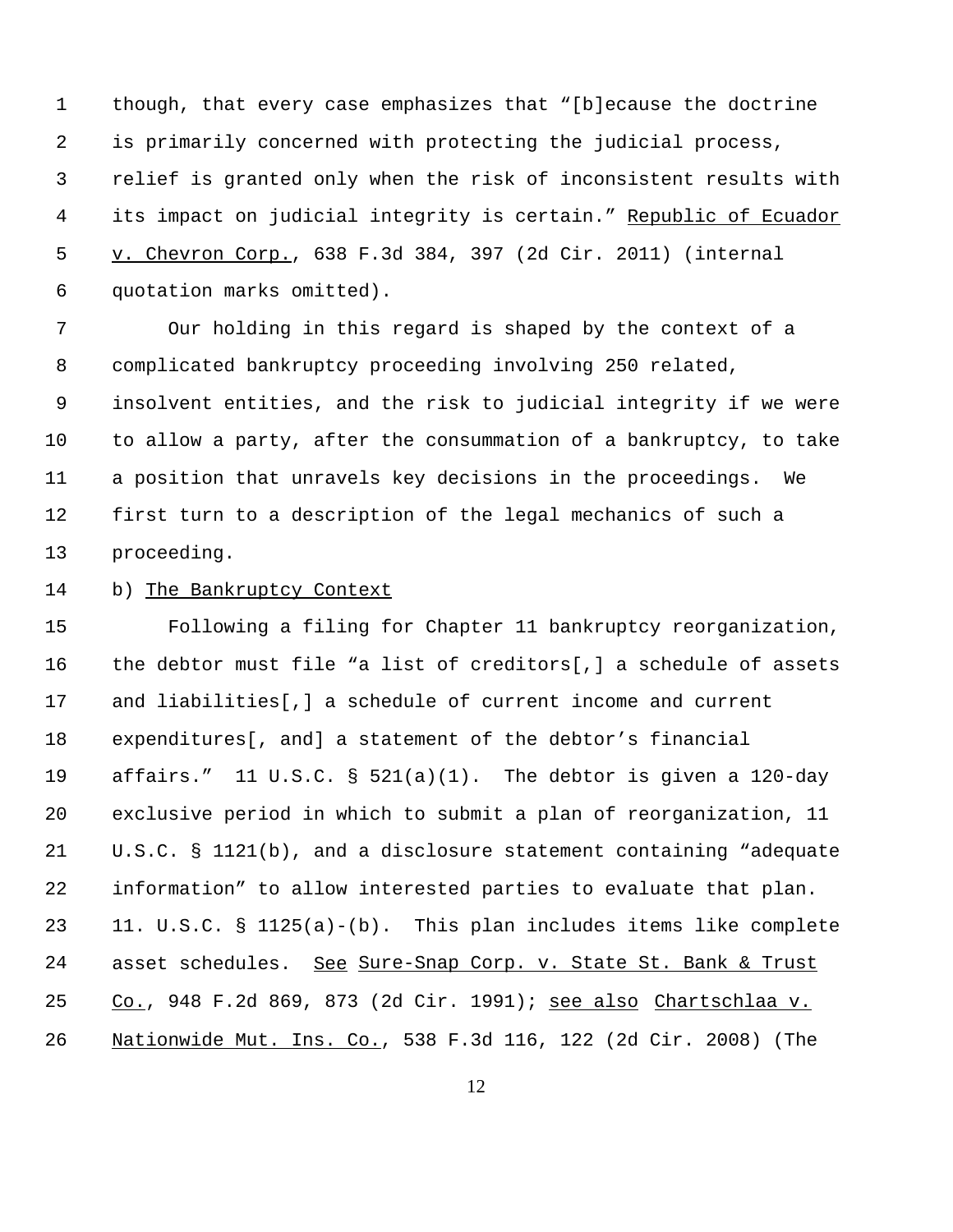though, that every case emphasizes that "[b]ecause the doctrine is primarily concerned with protecting the judicial process, relief is granted only when the risk of inconsistent results with its impact on judicial integrity is certain." Republic of Ecuador 5 v. Chevron Corp., 638 F.3d 384, 397 (2d Cir. 2011) (internal quotation marks omitted).

 Our holding in this regard is shaped by the context of a complicated bankruptcy proceeding involving 250 related, insolvent entities, and the risk to judicial integrity if we were to allow a party, after the consummation of a bankruptcy, to take a position that unravels key decisions in the proceedings. We first turn to a description of the legal mechanics of such a proceeding.

b) The Bankruptcy Context

 Following a filing for Chapter 11 bankruptcy reorganization, the debtor must file "a list of creditors[,] a schedule of assets and liabilities[,] a schedule of current income and current expenditures[, and] a statement of the debtor's financial affairs." 11 U.S.C. § 521(a)(1). The debtor is given a 120-day exclusive period in which to submit a plan of reorganization, 11 U.S.C. § 1121(b), and a disclosure statement containing "adequate information" to allow interested parties to evaluate that plan. 11. U.S.C. § 1125(a)-(b). This plan includes items like complete 24 asset schedules. See Sure-Snap Corp. v. State St. Bank & Trust Co., 948 F.2d 869, 873 (2d Cir. 1991); see also Chartschlaa v. Nationwide Mut. Ins. Co., 538 F.3d 116, 122 (2d Cir. 2008) (The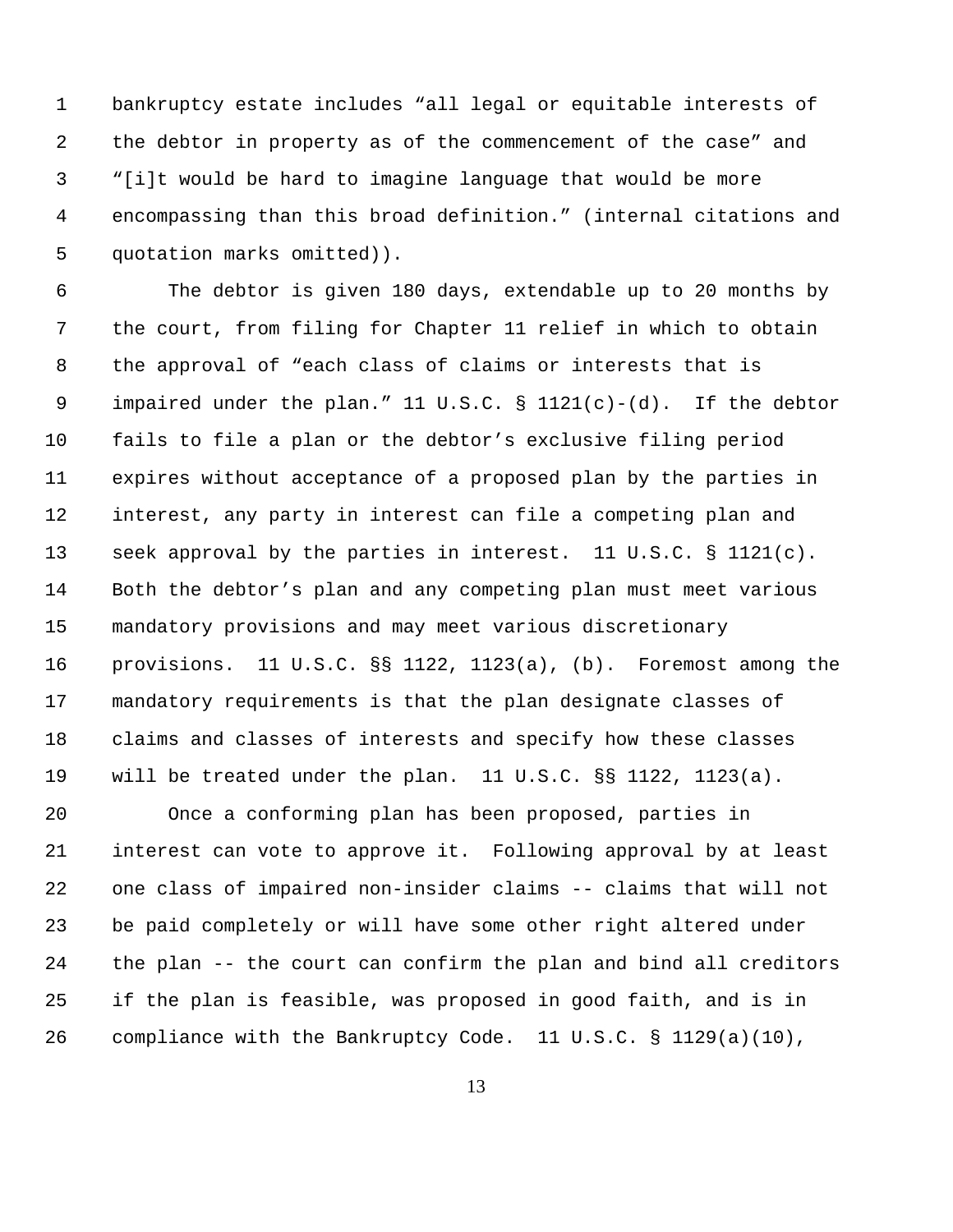bankruptcy estate includes "all legal or equitable interests of the debtor in property as of the commencement of the case" and "[i]t would be hard to imagine language that would be more encompassing than this broad definition." (internal citations and quotation marks omitted)).

 The debtor is given 180 days, extendable up to 20 months by the court, from filing for Chapter 11 relief in which to obtain the approval of "each class of claims or interests that is 9 impaired under the plan." 11 U.S.C.  $\S$  1121(c)-(d). If the debtor fails to file a plan or the debtor's exclusive filing period expires without acceptance of a proposed plan by the parties in interest, any party in interest can file a competing plan and seek approval by the parties in interest. 11 U.S.C. § 1121(c). Both the debtor's plan and any competing plan must meet various mandatory provisions and may meet various discretionary provisions. 11 U.S.C. §§ 1122, 1123(a), (b). Foremost among the mandatory requirements is that the plan designate classes of claims and classes of interests and specify how these classes will be treated under the plan. 11 U.S.C. §§ 1122, 1123(a).

 Once a conforming plan has been proposed, parties in interest can vote to approve it. Following approval by at least one class of impaired non-insider claims -- claims that will not be paid completely or will have some other right altered under the plan -- the court can confirm the plan and bind all creditors if the plan is feasible, was proposed in good faith, and is in compliance with the Bankruptcy Code. 11 U.S.C. § 1129(a)(10),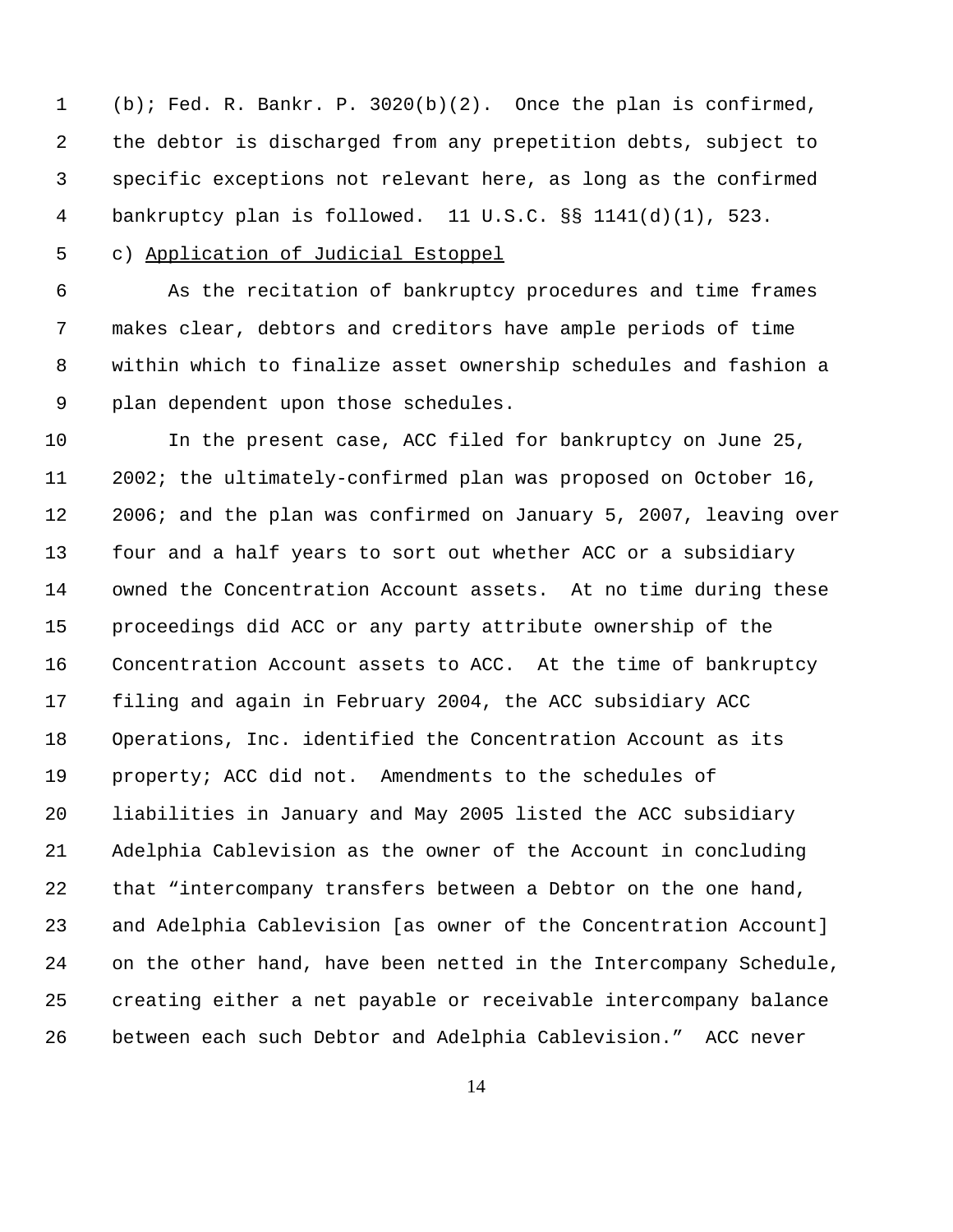(b); Fed. R. Bankr. P. 3020(b)(2). Once the plan is confirmed, the debtor is discharged from any prepetition debts, subject to specific exceptions not relevant here, as long as the confirmed bankruptcy plan is followed. 11 U.S.C. §§ 1141(d)(1), 523.

c) Application of Judicial Estoppel

 As the recitation of bankruptcy procedures and time frames makes clear, debtors and creditors have ample periods of time within which to finalize asset ownership schedules and fashion a plan dependent upon those schedules.

 In the present case, ACC filed for bankruptcy on June 25, 2002; the ultimately-confirmed plan was proposed on October 16, 2006; and the plan was confirmed on January 5, 2007, leaving over four and a half years to sort out whether ACC or a subsidiary owned the Concentration Account assets. At no time during these proceedings did ACC or any party attribute ownership of the Concentration Account assets to ACC. At the time of bankruptcy filing and again in February 2004, the ACC subsidiary ACC Operations, Inc. identified the Concentration Account as its property; ACC did not. Amendments to the schedules of liabilities in January and May 2005 listed the ACC subsidiary Adelphia Cablevision as the owner of the Account in concluding that "intercompany transfers between a Debtor on the one hand, and Adelphia Cablevision [as owner of the Concentration Account] on the other hand, have been netted in the Intercompany Schedule, creating either a net payable or receivable intercompany balance between each such Debtor and Adelphia Cablevision." ACC never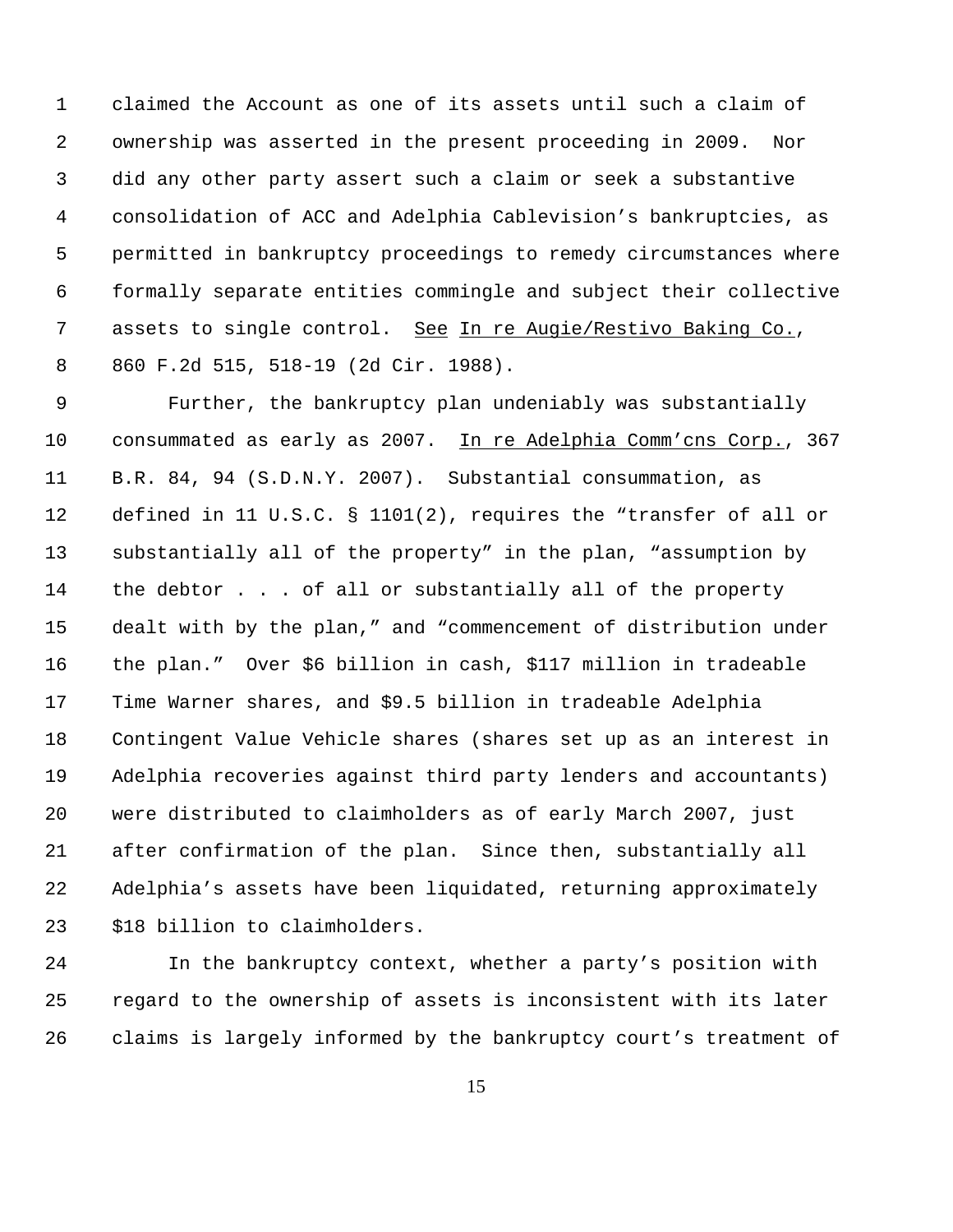claimed the Account as one of its assets until such a claim of ownership was asserted in the present proceeding in 2009. Nor did any other party assert such a claim or seek a substantive consolidation of ACC and Adelphia Cablevision's bankruptcies, as permitted in bankruptcy proceedings to remedy circumstances where formally separate entities commingle and subject their collective 7 assets to single control. See In re Augie/Restivo Baking Co., 860 F.2d 515, 518-19 (2d Cir. 1988).

 Further, the bankruptcy plan undeniably was substantially 10 consummated as early as 2007. In re Adelphia Comm'cns Corp., 367 B.R. 84, 94 (S.D.N.Y. 2007). Substantial consummation, as defined in 11 U.S.C. § 1101(2), requires the "transfer of all or substantially all of the property" in the plan, "assumption by the debtor . . . of all or substantially all of the property dealt with by the plan," and "commencement of distribution under the plan." Over \$6 billion in cash, \$117 million in tradeable Time Warner shares, and \$9.5 billion in tradeable Adelphia Contingent Value Vehicle shares (shares set up as an interest in Adelphia recoveries against third party lenders and accountants) were distributed to claimholders as of early March 2007, just after confirmation of the plan. Since then, substantially all Adelphia's assets have been liquidated, returning approximately \$18 billion to claimholders.

 In the bankruptcy context, whether a party's position with regard to the ownership of assets is inconsistent with its later claims is largely informed by the bankruptcy court's treatment of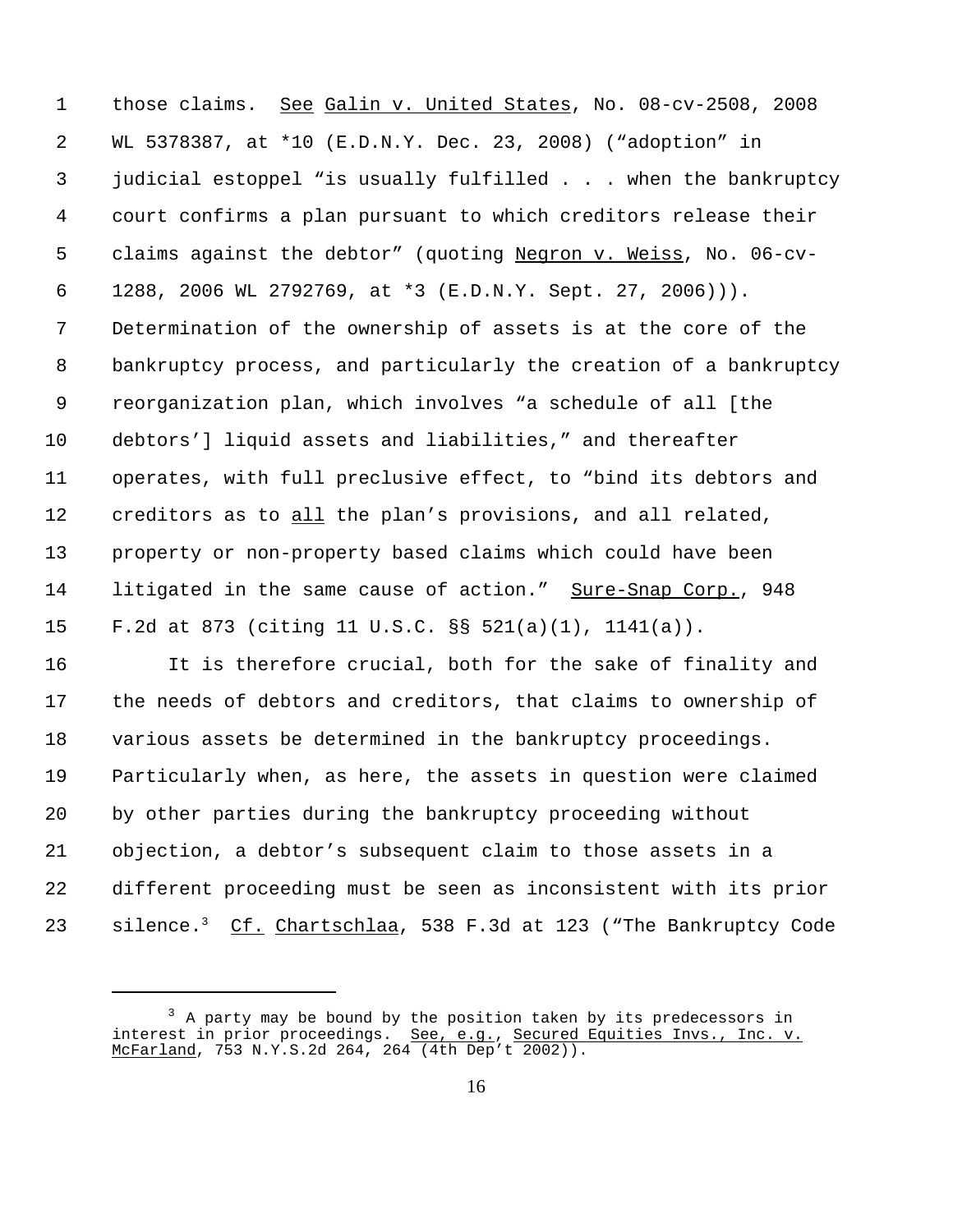those claims. See Galin v. United States, No. 08-cv-2508, 2008 WL 5378387, at \*10 (E.D.N.Y. Dec. 23, 2008) ("adoption" in judicial estoppel "is usually fulfilled . . . when the bankruptcy court confirms a plan pursuant to which creditors release their claims against the debtor" (quoting Negron v. Weiss, No. 06-cv- 1288, 2006 WL 2792769, at \*3 (E.D.N.Y. Sept. 27, 2006))). Determination of the ownership of assets is at the core of the bankruptcy process, and particularly the creation of a bankruptcy reorganization plan, which involves "a schedule of all [the debtors'] liquid assets and liabilities," and thereafter operates, with full preclusive effect, to "bind its debtors and creditors as to all the plan's provisions, and all related, property or non-property based claims which could have been 14 litigated in the same cause of action." Sure-Snap Corp., 948 F.2d at 873 (citing 11 U.S.C. §§ 521(a)(1), 1141(a)).

 It is therefore crucial, both for the sake of finality and the needs of debtors and creditors, that claims to ownership of various assets be determined in the bankruptcy proceedings. Particularly when, as here, the assets in question were claimed by other parties during the bankruptcy proceeding without objection, a debtor's subsequent claim to those assets in a different proceeding must be seen as inconsistent with its prior silence.3 23 Cf. Chartschlaa, 538 F.3d at 123 ("The Bankruptcy Code

 A party may be bound by the position taken by its predecessors in interest in prior proceedings. See, e.g., Secured Equities Invs., Inc. v. McFarland, 753 N.Y.S.2d 264, 264 (4th Dep't 2002)).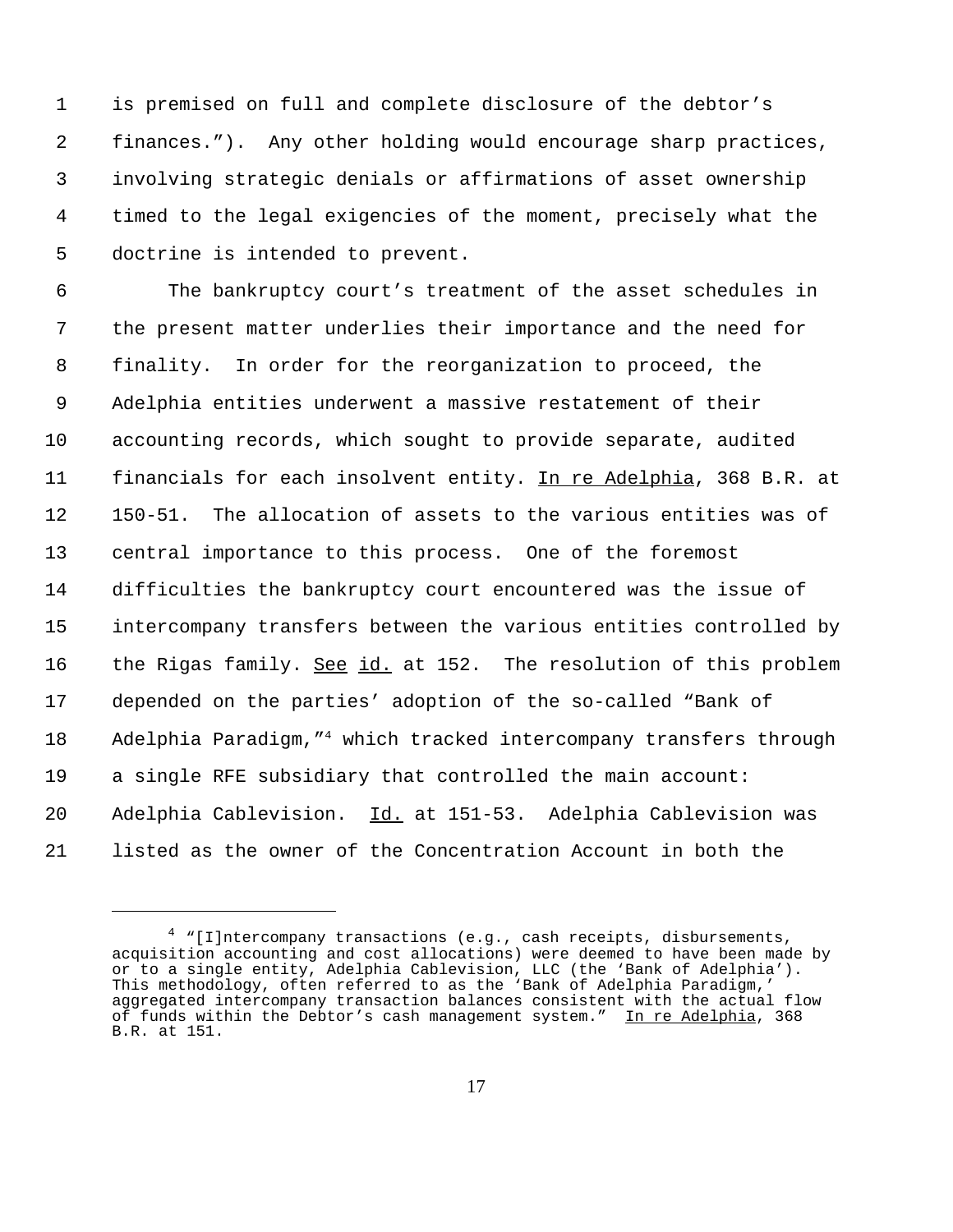is premised on full and complete disclosure of the debtor's finances."). Any other holding would encourage sharp practices, involving strategic denials or affirmations of asset ownership timed to the legal exigencies of the moment, precisely what the doctrine is intended to prevent.

 The bankruptcy court's treatment of the asset schedules in the present matter underlies their importance and the need for finality. In order for the reorganization to proceed, the Adelphia entities underwent a massive restatement of their accounting records, which sought to provide separate, audited 11 financials for each insolvent entity. In re Adelphia, 368 B.R. at 150-51. The allocation of assets to the various entities was of central importance to this process. One of the foremost difficulties the bankruptcy court encountered was the issue of intercompany transfers between the various entities controlled by 16 the Rigas family. <u>See id.</u> at 152. The resolution of this problem depended on the parties' adoption of the so-called "Bank of 18 Adelphia Paradigm, "<sup>4</sup> which tracked intercompany transfers through a single RFE subsidiary that controlled the main account: Adelphia Cablevision. Id. at 151-53. Adelphia Cablevision was listed as the owner of the Concentration Account in both the

 "[I]ntercompany transactions (e.g., cash receipts, disbursements, acquisition accounting and cost allocations) were deemed to have been made by or to a single entity, Adelphia Cablevision, LLC (the 'Bank of Adelphia'). This methodology, often referred to as the 'Bank of Adelphia Paradigm,' aggregated intercompany transaction balances consistent with the actual flow of funds within the Debtor's cash management system." In re Adelphia, 368 B.R. at 151.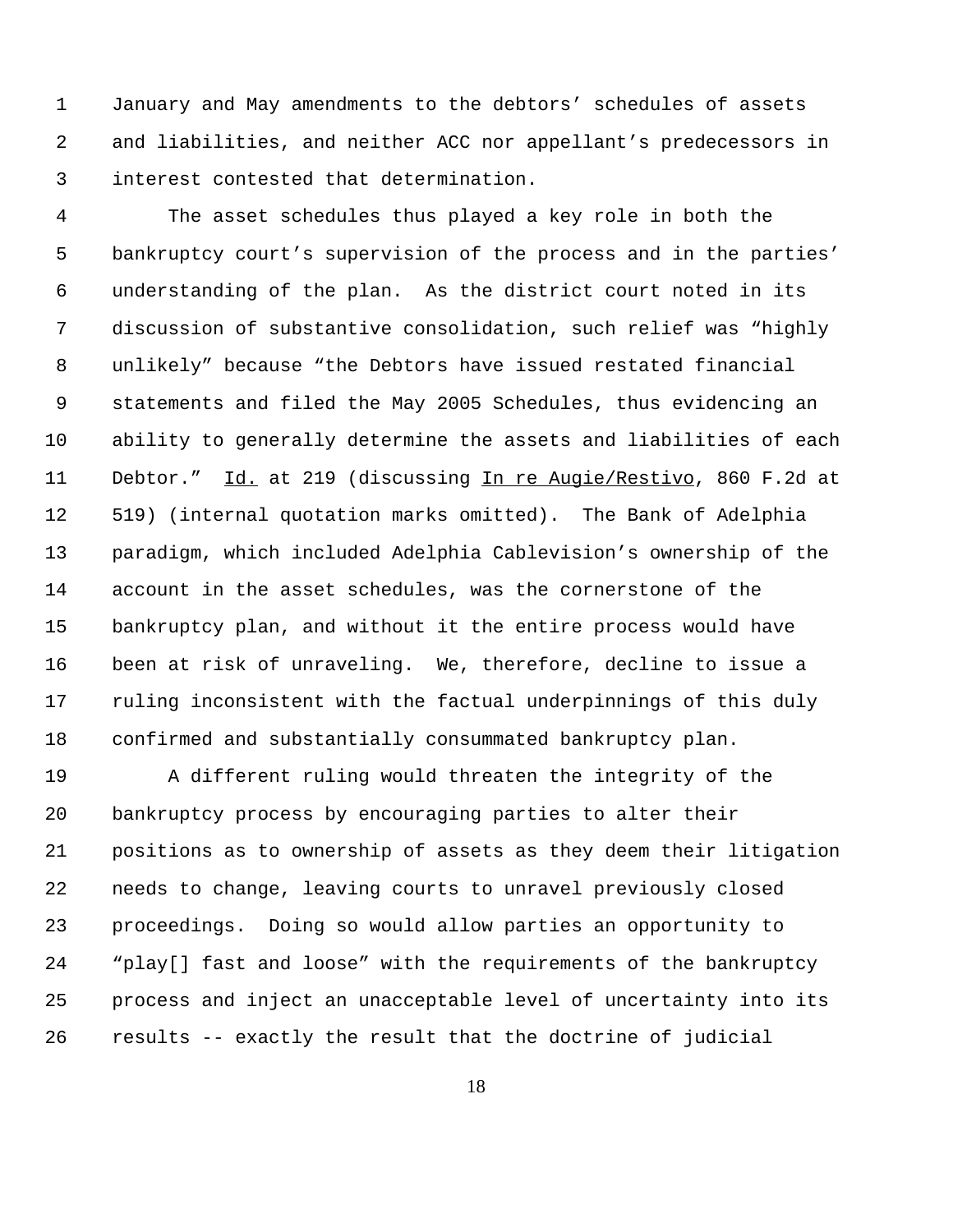January and May amendments to the debtors' schedules of assets and liabilities, and neither ACC nor appellant's predecessors in interest contested that determination.

 The asset schedules thus played a key role in both the bankruptcy court's supervision of the process and in the parties' understanding of the plan. As the district court noted in its discussion of substantive consolidation, such relief was "highly unlikely" because "the Debtors have issued restated financial statements and filed the May 2005 Schedules, thus evidencing an ability to generally determine the assets and liabilities of each 11 Debtor." Id. at 219 (discussing In re Augie/Restivo, 860 F.2d at 519) (internal quotation marks omitted). The Bank of Adelphia paradigm, which included Adelphia Cablevision's ownership of the account in the asset schedules, was the cornerstone of the bankruptcy plan, and without it the entire process would have been at risk of unraveling. We, therefore, decline to issue a ruling inconsistent with the factual underpinnings of this duly confirmed and substantially consummated bankruptcy plan.

 A different ruling would threaten the integrity of the bankruptcy process by encouraging parties to alter their positions as to ownership of assets as they deem their litigation needs to change, leaving courts to unravel previously closed proceedings. Doing so would allow parties an opportunity to "play[] fast and loose" with the requirements of the bankruptcy process and inject an unacceptable level of uncertainty into its results -- exactly the result that the doctrine of judicial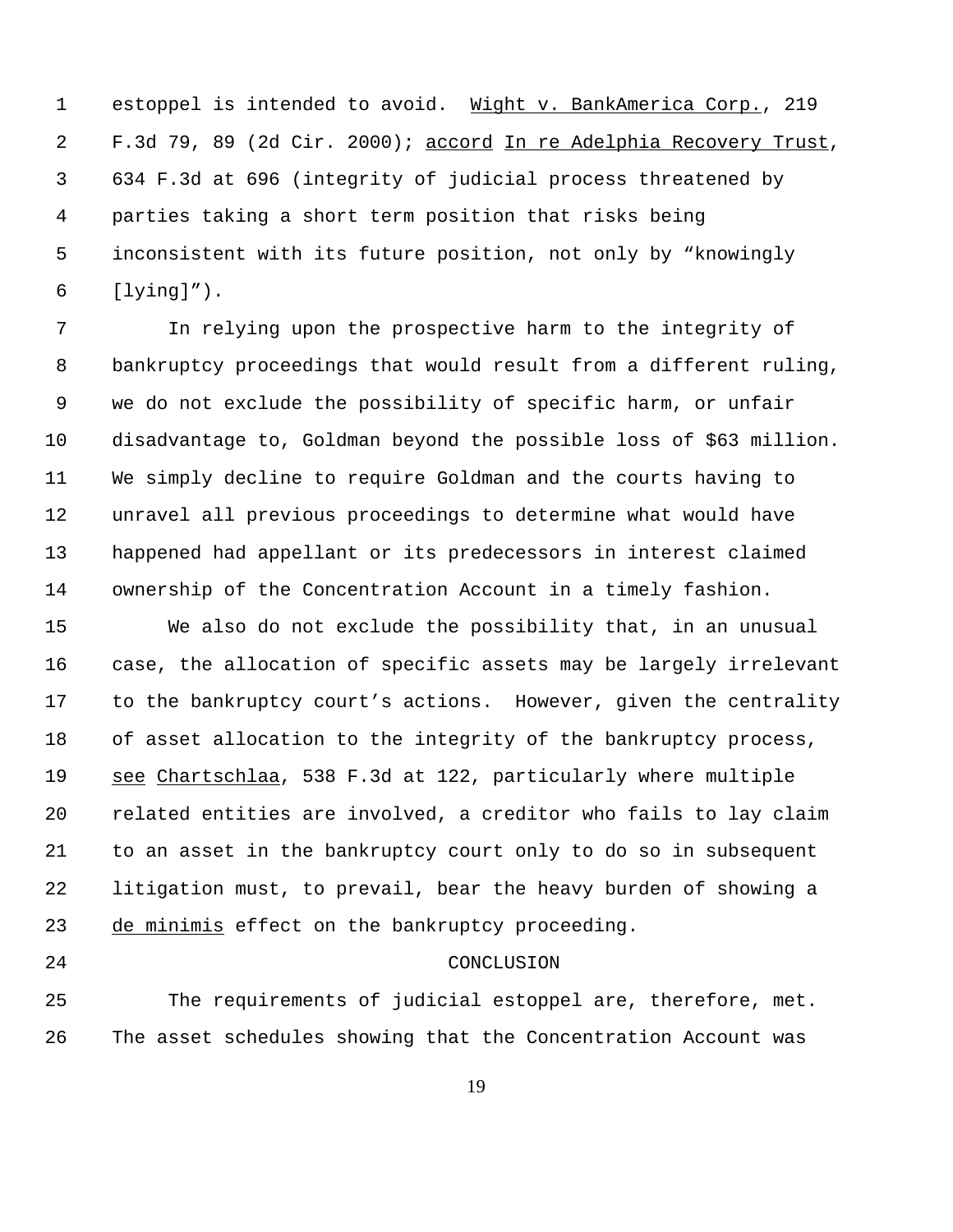1 estoppel is intended to avoid. Wight v. BankAmerica Corp., 219 F.3d 79, 89 (2d Cir. 2000); accord In re Adelphia Recovery Trust, 634 F.3d at 696 (integrity of judicial process threatened by parties taking a short term position that risks being inconsistent with its future position, not only by "knowingly [lying]").

 In relying upon the prospective harm to the integrity of bankruptcy proceedings that would result from a different ruling, we do not exclude the possibility of specific harm, or unfair disadvantage to, Goldman beyond the possible loss of \$63 million. We simply decline to require Goldman and the courts having to unravel all previous proceedings to determine what would have happened had appellant or its predecessors in interest claimed ownership of the Concentration Account in a timely fashion.

 We also do not exclude the possibility that, in an unusual case, the allocation of specific assets may be largely irrelevant to the bankruptcy court's actions. However, given the centrality of asset allocation to the integrity of the bankruptcy process, see Chartschlaa, 538 F.3d at 122, particularly where multiple related entities are involved, a creditor who fails to lay claim to an asset in the bankruptcy court only to do so in subsequent litigation must, to prevail, bear the heavy burden of showing a de minimis effect on the bankruptcy proceeding.

## CONCLUSION

 The requirements of judicial estoppel are, therefore, met. The asset schedules showing that the Concentration Account was